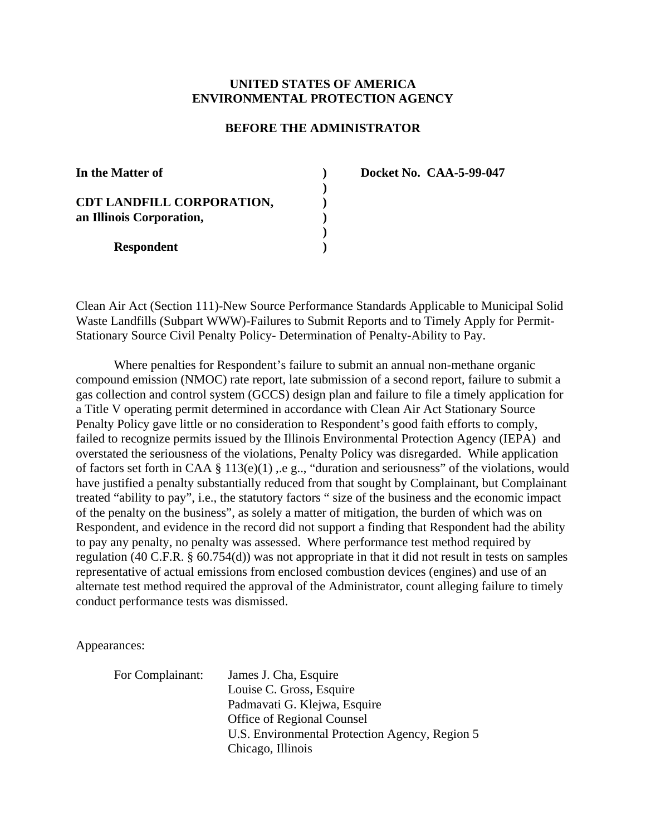# **UNITED STATES OF AMERICA ENVIRONMENTAL PROTECTION AGENCY**

### **BEFORE THE ADMINISTRATOR**

| In the Matter of                                      |  |
|-------------------------------------------------------|--|
| CDT LANDFILL CORPORATION,<br>an Illinois Corporation, |  |
| <b>Respondent</b>                                     |  |

**) Docket No. CAA-5-99-047**

Clean Air Act (Section 111)-New Source Performance Standards Applicable to Municipal Solid Waste Landfills (Subpart WWW)-Failures to Submit Reports and to Timely Apply for Permit-Stationary Source Civil Penalty Policy- Determination of Penalty-Ability to Pay.

Where penalties for Respondent's failure to submit an annual non-methane organic compound emission (NMOC) rate report, late submission of a second report, failure to submit a gas collection and control system (GCCS) design plan and failure to file a timely application for a Title V operating permit determined in accordance with Clean Air Act Stationary Source Penalty Policy gave little or no consideration to Respondent's good faith efforts to comply, failed to recognize permits issued by the Illinois Environmental Protection Agency (IEPA) and overstated the seriousness of the violations, Penalty Policy was disregarded. While application of factors set forth in CAA § 113(e)(1) ,.e g.., "duration and seriousness" of the violations, would have justified a penalty substantially reduced from that sought by Complainant, but Complainant treated "ability to pay", i.e., the statutory factors " size of the business and the economic impact of the penalty on the business", as solely a matter of mitigation, the burden of which was on Respondent, and evidence in the record did not support a finding that Respondent had the ability to pay any penalty, no penalty was assessed. Where performance test method required by regulation (40 C.F.R. § 60.754(d)) was not appropriate in that it did not result in tests on samples representative of actual emissions from enclosed combustion devices (engines) and use of an alternate test method required the approval of the Administrator, count alleging failure to timely conduct performance tests was dismissed.

Appearances:

For Complainant: James J. Cha, Esquire Louise C. Gross, Esquire Padmavati G. Klejwa, Esquire Office of Regional Counsel U.S. Environmental Protection Agency, Region 5 Chicago, Illinois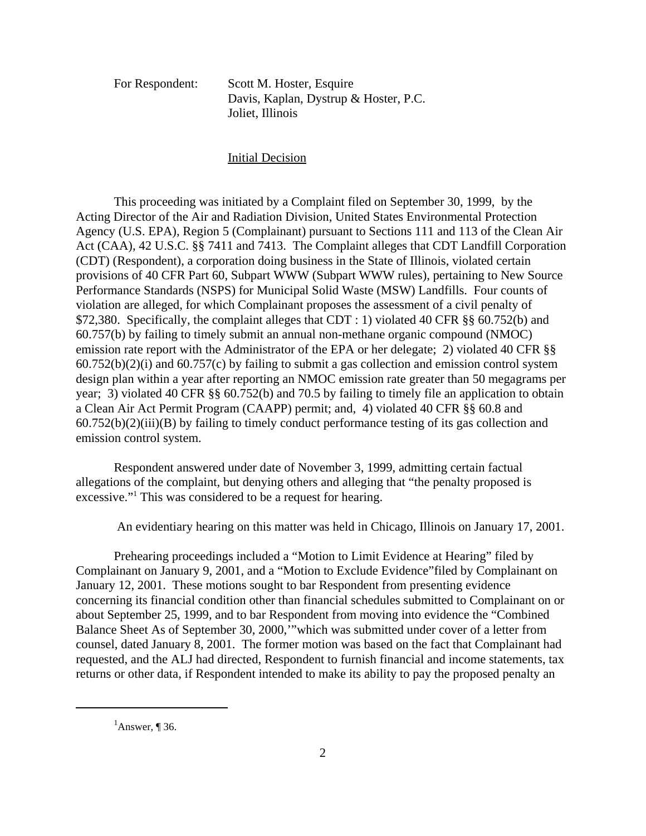For Respondent: Scott M. Hoster, Esquire Davis, Kaplan, Dystrup & Hoster, P.C. Joliet, Illinois

#### Initial Decision

This proceeding was initiated by a Complaint filed on September 30, 1999, by the Acting Director of the Air and Radiation Division, United States Environmental Protection Agency (U.S. EPA), Region 5 (Complainant) pursuant to Sections 111 and 113 of the Clean Air Act (CAA), 42 U.S.C. §§ 7411 and 7413. The Complaint alleges that CDT Landfill Corporation (CDT) (Respondent), a corporation doing business in the State of Illinois, violated certain provisions of 40 CFR Part 60, Subpart WWW (Subpart WWW rules), pertaining to New Source Performance Standards (NSPS) for Municipal Solid Waste (MSW) Landfills. Four counts of violation are alleged, for which Complainant proposes the assessment of a civil penalty of \$72,380. Specifically, the complaint alleges that CDT : 1) violated 40 CFR §§ 60.752(b) and 60.757(b) by failing to timely submit an annual non-methane organic compound (NMOC) emission rate report with the Administrator of the EPA or her delegate; 2) violated 40 CFR §§ 60.752(b)(2)(i) and 60.757(c) by failing to submit a gas collection and emission control system design plan within a year after reporting an NMOC emission rate greater than 50 megagrams per year; 3) violated 40 CFR §§ 60.752(b) and 70.5 by failing to timely file an application to obtain a Clean Air Act Permit Program (CAAPP) permit; and, 4) violated 40 CFR §§ 60.8 and  $60.752(b)(2)(iii)(B)$  by failing to timely conduct performance testing of its gas collection and emission control system.

Respondent answered under date of November 3, 1999, admitting certain factual allegations of the complaint, but denying others and alleging that "the penalty proposed is excessive."<sup>1</sup> This was considered to be a request for hearing.

An evidentiary hearing on this matter was held in Chicago, Illinois on January 17, 2001.

Prehearing proceedings included a "Motion to Limit Evidence at Hearing" filed by Complainant on January 9, 2001, and a "Motion to Exclude Evidence"filed by Complainant on January 12, 2001. These motions sought to bar Respondent from presenting evidence concerning its financial condition other than financial schedules submitted to Complainant on or about September 25, 1999, and to bar Respondent from moving into evidence the "Combined Balance Sheet As of September 30, 2000,'"which was submitted under cover of a letter from counsel, dated January 8, 2001. The former motion was based on the fact that Complainant had requested, and the ALJ had directed, Respondent to furnish financial and income statements, tax returns or other data, if Respondent intended to make its ability to pay the proposed penalty an

<sup>&</sup>lt;sup>1</sup>Answer, ¶ 36.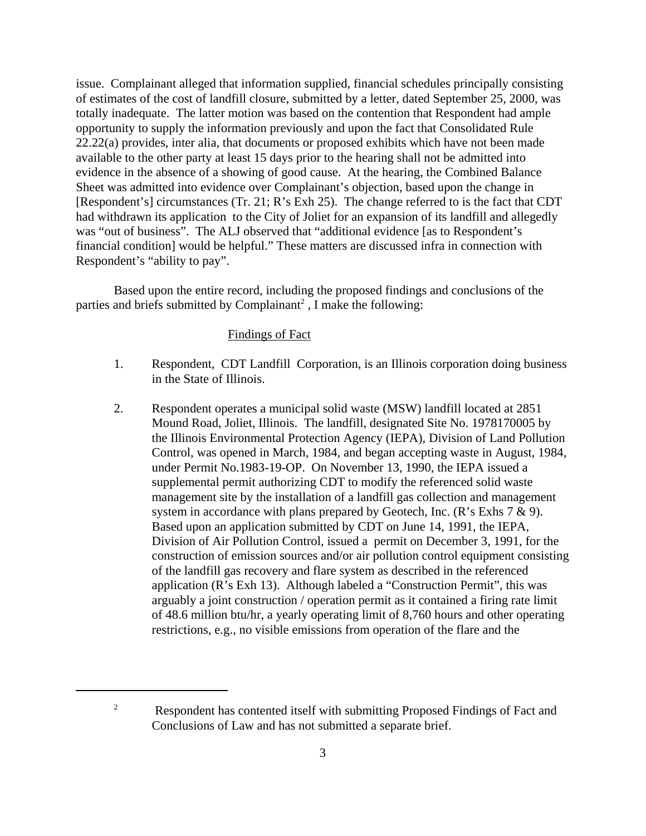issue. Complainant alleged that information supplied, financial schedules principally consisting of estimates of the cost of landfill closure, submitted by a letter, dated September 25, 2000, was totally inadequate. The latter motion was based on the contention that Respondent had ample opportunity to supply the information previously and upon the fact that Consolidated Rule 22.22(a) provides, inter alia, that documents or proposed exhibits which have not been made available to the other party at least 15 days prior to the hearing shall not be admitted into evidence in the absence of a showing of good cause. At the hearing, the Combined Balance Sheet was admitted into evidence over Complainant's objection, based upon the change in [Respondent's] circumstances (Tr. 21; R's Exh 25). The change referred to is the fact that CDT had withdrawn its application to the City of Joliet for an expansion of its landfill and allegedly was "out of business". The ALJ observed that "additional evidence [as to Respondent's financial condition] would be helpful." These matters are discussed infra in connection with Respondent's "ability to pay".

Based upon the entire record, including the proposed findings and conclusions of the parties and briefs submitted by Complainant<sup>2</sup>, I make the following:

# Findings of Fact

- 1. Respondent, CDT Landfill Corporation, is an Illinois corporation doing business in the State of Illinois.
- 2. Respondent operates a municipal solid waste (MSW) landfill located at 2851 Mound Road, Joliet, Illinois. The landfill, designated Site No. 1978170005 by the Illinois Environmental Protection Agency (IEPA), Division of Land Pollution Control, was opened in March, 1984, and began accepting waste in August, 1984, under Permit No.1983-19-OP. On November 13, 1990, the IEPA issued a supplemental permit authorizing CDT to modify the referenced solid waste management site by the installation of a landfill gas collection and management system in accordance with plans prepared by Geotech, Inc.  $(R's Exhs 7 \& 9)$ . Based upon an application submitted by CDT on June 14, 1991, the IEPA, Division of Air Pollution Control, issued a permit on December 3, 1991, for the construction of emission sources and/or air pollution control equipment consisting of the landfill gas recovery and flare system as described in the referenced application (R's Exh 13). Although labeled a "Construction Permit", this was arguably a joint construction / operation permit as it contained a firing rate limit of 48.6 million btu/hr, a yearly operating limit of 8,760 hours and other operating restrictions, e.g., no visible emissions from operation of the flare and the

<sup>&</sup>lt;sup>2</sup> Respondent has contented itself with submitting Proposed Findings of Fact and Conclusions of Law and has not submitted a separate brief.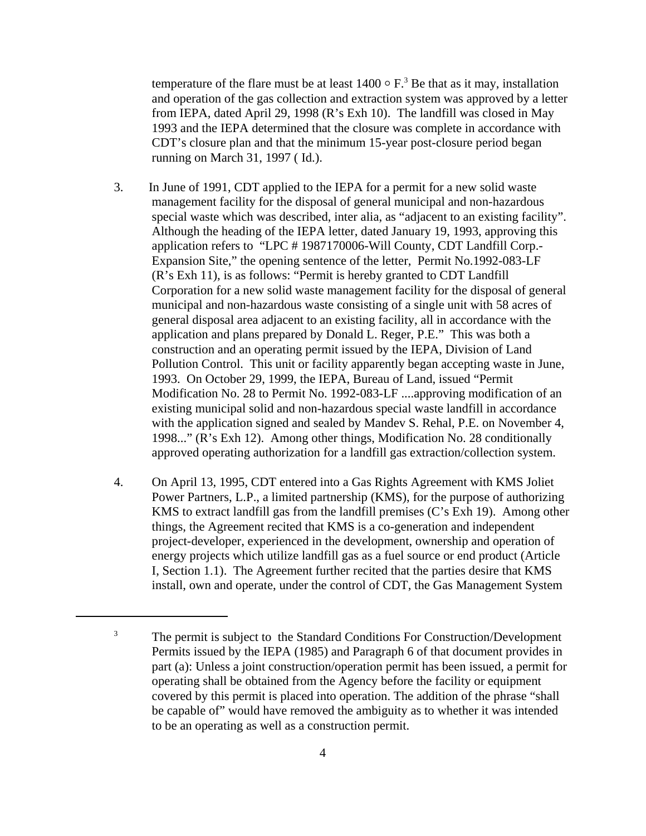temperature of the flare must be at least  $1400 \circ F$ .<sup>3</sup> Be that as it may, installation and operation of the gas collection and extraction system was approved by a letter from IEPA, dated April 29, 1998 (R's Exh 10). The landfill was closed in May 1993 and the IEPA determined that the closure was complete in accordance with CDT's closure plan and that the minimum 15-year post-closure period began running on March 31, 1997 ( Id.).

- 3. In June of 1991, CDT applied to the IEPA for a permit for a new solid waste management facility for the disposal of general municipal and non-hazardous special waste which was described, inter alia, as "adjacent to an existing facility". Although the heading of the IEPA letter, dated January 19, 1993, approving this application refers to "LPC # 1987170006-Will County, CDT Landfill Corp.- Expansion Site," the opening sentence of the letter, Permit No.1992-083-LF (R's Exh 11), is as follows: "Permit is hereby granted to CDT Landfill Corporation for a new solid waste management facility for the disposal of general municipal and non-hazardous waste consisting of a single unit with 58 acres of general disposal area adjacent to an existing facility, all in accordance with the application and plans prepared by Donald L. Reger, P.E." This was both a construction and an operating permit issued by the IEPA, Division of Land Pollution Control. This unit or facility apparently began accepting waste in June, 1993. On October 29, 1999, the IEPA, Bureau of Land, issued "Permit Modification No. 28 to Permit No. 1992-083-LF ....approving modification of an existing municipal solid and non-hazardous special waste landfill in accordance with the application signed and sealed by Mandev S. Rehal, P.E. on November 4, 1998..." (R's Exh 12). Among other things, Modification No. 28 conditionally approved operating authorization for a landfill gas extraction/collection system.
- 4. On April 13, 1995, CDT entered into a Gas Rights Agreement with KMS Joliet Power Partners, L.P., a limited partnership (KMS), for the purpose of authorizing KMS to extract landfill gas from the landfill premises (C's Exh 19). Among other things, the Agreement recited that KMS is a co-generation and independent project-developer, experienced in the development, ownership and operation of energy projects which utilize landfill gas as a fuel source or end product (Article I, Section 1.1). The Agreement further recited that the parties desire that KMS install, own and operate, under the control of CDT, the Gas Management System

<sup>&</sup>lt;sup>3</sup> The permit is subject to the Standard Conditions For Construction/Development Permits issued by the IEPA (1985) and Paragraph 6 of that document provides in part (a): Unless a joint construction/operation permit has been issued, a permit for operating shall be obtained from the Agency before the facility or equipment covered by this permit is placed into operation. The addition of the phrase "shall be capable of" would have removed the ambiguity as to whether it was intended to be an operating as well as a construction permit.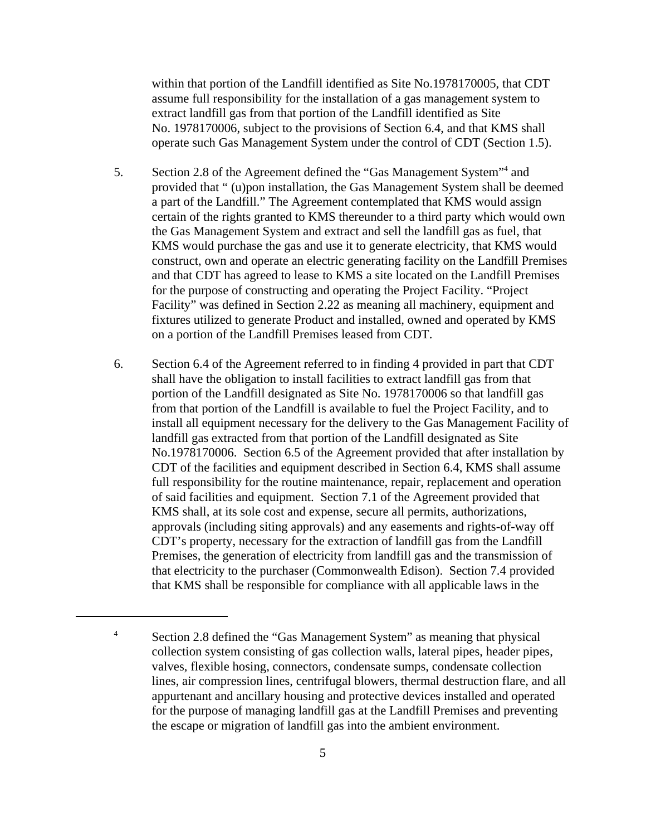within that portion of the Landfill identified as Site No.1978170005, that CDT assume full responsibility for the installation of a gas management system to extract landfill gas from that portion of the Landfill identified as Site No. 1978170006, subject to the provisions of Section 6.4, and that KMS shall operate such Gas Management System under the control of CDT (Section 1.5).

- 5. Section 2.8 of the Agreement defined the "Gas Management System"<sup>4</sup> and provided that " (u)pon installation, the Gas Management System shall be deemed a part of the Landfill." The Agreement contemplated that KMS would assign certain of the rights granted to KMS thereunder to a third party which would own the Gas Management System and extract and sell the landfill gas as fuel, that KMS would purchase the gas and use it to generate electricity, that KMS would construct, own and operate an electric generating facility on the Landfill Premises and that CDT has agreed to lease to KMS a site located on the Landfill Premises for the purpose of constructing and operating the Project Facility. "Project Facility" was defined in Section 2.22 as meaning all machinery, equipment and fixtures utilized to generate Product and installed, owned and operated by KMS on a portion of the Landfill Premises leased from CDT.
- 6. Section 6.4 of the Agreement referred to in finding 4 provided in part that CDT shall have the obligation to install facilities to extract landfill gas from that portion of the Landfill designated as Site No. 1978170006 so that landfill gas from that portion of the Landfill is available to fuel the Project Facility, and to install all equipment necessary for the delivery to the Gas Management Facility of landfill gas extracted from that portion of the Landfill designated as Site No.1978170006. Section 6.5 of the Agreement provided that after installation by CDT of the facilities and equipment described in Section 6.4, KMS shall assume full responsibility for the routine maintenance, repair, replacement and operation of said facilities and equipment. Section 7.1 of the Agreement provided that KMS shall, at its sole cost and expense, secure all permits, authorizations, approvals (including siting approvals) and any easements and rights-of-way off CDT's property, necessary for the extraction of landfill gas from the Landfill Premises, the generation of electricity from landfill gas and the transmission of that electricity to the purchaser (Commonwealth Edison). Section 7.4 provided that KMS shall be responsible for compliance with all applicable laws in the

<sup>&</sup>lt;sup>4</sup> Section 2.8 defined the "Gas Management System" as meaning that physical collection system consisting of gas collection walls, lateral pipes, header pipes, valves, flexible hosing, connectors, condensate sumps, condensate collection lines, air compression lines, centrifugal blowers, thermal destruction flare, and all appurtenant and ancillary housing and protective devices installed and operated for the purpose of managing landfill gas at the Landfill Premises and preventing the escape or migration of landfill gas into the ambient environment.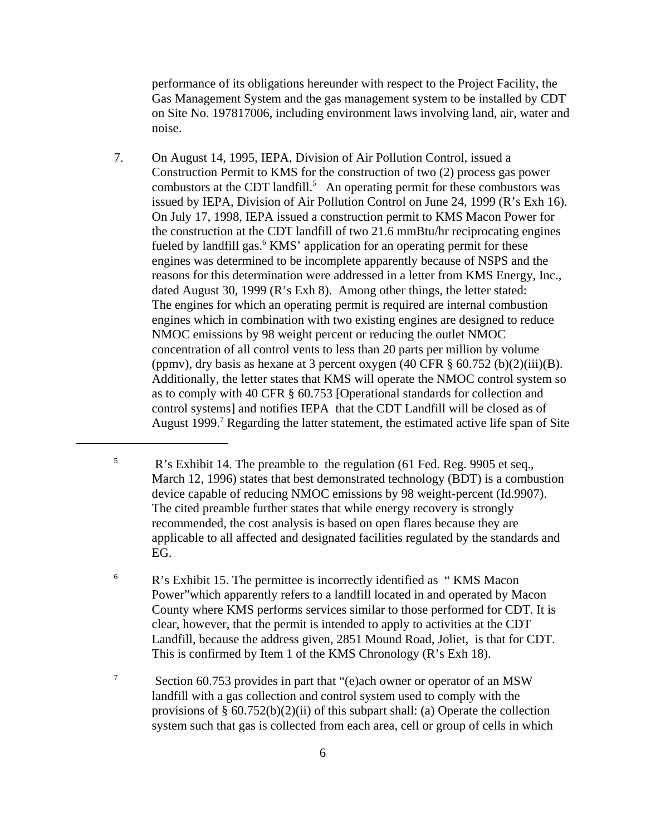performance of its obligations hereunder with respect to the Project Facility, the Gas Management System and the gas management system to be installed by CDT on Site No. 197817006, including environment laws involving land, air, water and noise.

7. On August 14, 1995, IEPA, Division of Air Pollution Control, issued a Construction Permit to KMS for the construction of two (2) process gas power combustors at the CDT landfill.<sup>5</sup> An operating permit for these combustors was issued by IEPA, Division of Air Pollution Control on June 24, 1999 (R's Exh 16). On July 17, 1998, IEPA issued a construction permit to KMS Macon Power for the construction at the CDT landfill of two 21.6 mmBtu/hr reciprocating engines fueled by landfill gas.<sup>6</sup> KMS' application for an operating permit for these engines was determined to be incomplete apparently because of NSPS and the reasons for this determination were addressed in a letter from KMS Energy, Inc., dated August 30, 1999 (R's Exh 8). Among other things, the letter stated: The engines for which an operating permit is required are internal combustion engines which in combination with two existing engines are designed to reduce NMOC emissions by 98 weight percent or reducing the outlet NMOC concentration of all control vents to less than 20 parts per million by volume (ppmv), dry basis as hexane at 3 percent oxygen  $(40 \text{ CFR} \text{ § } 60.752 \text{ (b)}(2)(iii)(B))$ . Additionally, the letter states that KMS will operate the NMOC control system so as to comply with 40 CFR § 60.753 [Operational standards for collection and control systems] and notifies IEPA that the CDT Landfill will be closed as of August 1999.<sup>7</sup> Regarding the latter statement, the estimated active life span of Site

<sup>6</sup> R's Exhibit 15. The permittee is incorrectly identified as "KMS Macon Power"which apparently refers to a landfill located in and operated by Macon County where KMS performs services similar to those performed for CDT. It is clear, however, that the permit is intended to apply to activities at the CDT Landfill, because the address given, 2851 Mound Road, Joliet, is that for CDT. This is confirmed by Item 1 of the KMS Chronology (R's Exh 18).

<sup>7</sup> Section 60.753 provides in part that "(e)ach owner or operator of an MSW landfill with a gas collection and control system used to comply with the provisions of  $\S 60.752(b)(2)(ii)$  of this subpart shall: (a) Operate the collection system such that gas is collected from each area, cell or group of cells in which

<sup>&</sup>lt;sup>5</sup> R's Exhibit 14. The preamble to the regulation (61 Fed. Reg. 9905 et seq., March 12, 1996) states that best demonstrated technology (BDT) is a combustion device capable of reducing NMOC emissions by 98 weight-percent (Id.9907). The cited preamble further states that while energy recovery is strongly recommended, the cost analysis is based on open flares because they are applicable to all affected and designated facilities regulated by the standards and EG.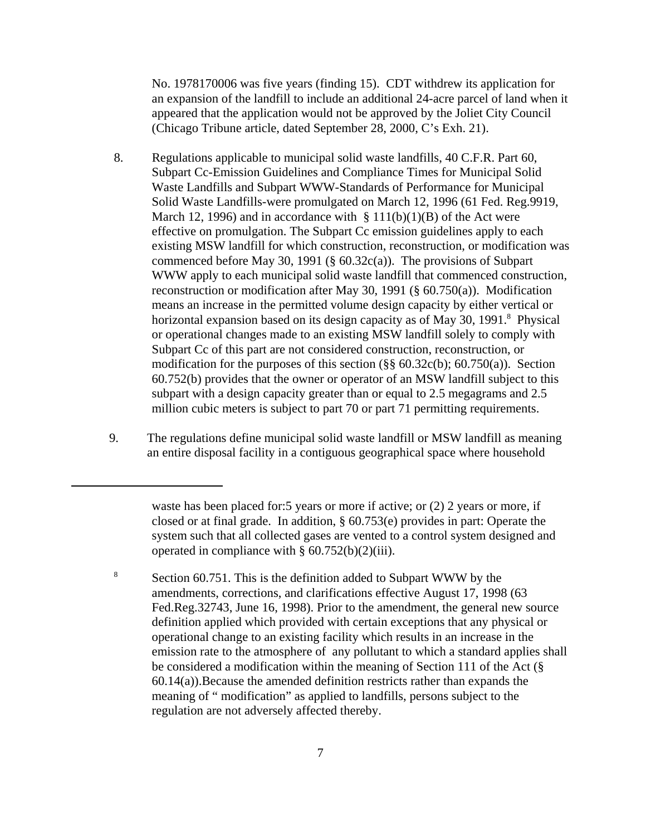No. 1978170006 was five years (finding 15). CDT withdrew its application for an expansion of the landfill to include an additional 24-acre parcel of land when it appeared that the application would not be approved by the Joliet City Council (Chicago Tribune article, dated September 28, 2000, C's Exh. 21).

- 8. Regulations applicable to municipal solid waste landfills, 40 C.F.R. Part 60, Subpart Cc-Emission Guidelines and Compliance Times for Municipal Solid Waste Landfills and Subpart WWW-Standards of Performance for Municipal Solid Waste Landfills-were promulgated on March 12, 1996 (61 Fed. Reg.9919, March 12, 1996) and in accordance with  $\S 111(b)(1)(B)$  of the Act were effective on promulgation. The Subpart Cc emission guidelines apply to each existing MSW landfill for which construction, reconstruction, or modification was commenced before May 30, 1991 (§ 60.32c(a)). The provisions of Subpart WWW apply to each municipal solid waste landfill that commenced construction, reconstruction or modification after May 30, 1991 (§ 60.750(a)). Modification means an increase in the permitted volume design capacity by either vertical or horizontal expansion based on its design capacity as of May 30, 1991.<sup>8</sup> Physical or operational changes made to an existing MSW landfill solely to comply with Subpart Cc of this part are not considered construction, reconstruction, or modification for the purposes of this section  $(\frac{8}{8}, \frac{60.32c(b)}{60.750(a)})$ . Section 60.752(b) provides that the owner or operator of an MSW landfill subject to this subpart with a design capacity greater than or equal to 2.5 megagrams and 2.5 million cubic meters is subject to part 70 or part 71 permitting requirements.
- 9. The regulations define municipal solid waste landfill or MSW landfill as meaning an entire disposal facility in a contiguous geographical space where household

waste has been placed for:5 years or more if active; or (2) 2 years or more, if closed or at final grade. In addition, § 60.753(e) provides in part: Operate the system such that all collected gases are vented to a control system designed and operated in compliance with  $\S 60.752(b)(2)(iii)$ .

Section 60.751. This is the definition added to Subpart WWW by the amendments, corrections, and clarifications effective August 17, 1998 (63 Fed.Reg.32743, June 16, 1998). Prior to the amendment, the general new source definition applied which provided with certain exceptions that any physical or operational change to an existing facility which results in an increase in the emission rate to the atmosphere of any pollutant to which a standard applies shall be considered a modification within the meaning of Section 111 of the Act (§ 60.14(a)).Because the amended definition restricts rather than expands the meaning of " modification" as applied to landfills, persons subject to the regulation are not adversely affected thereby. 8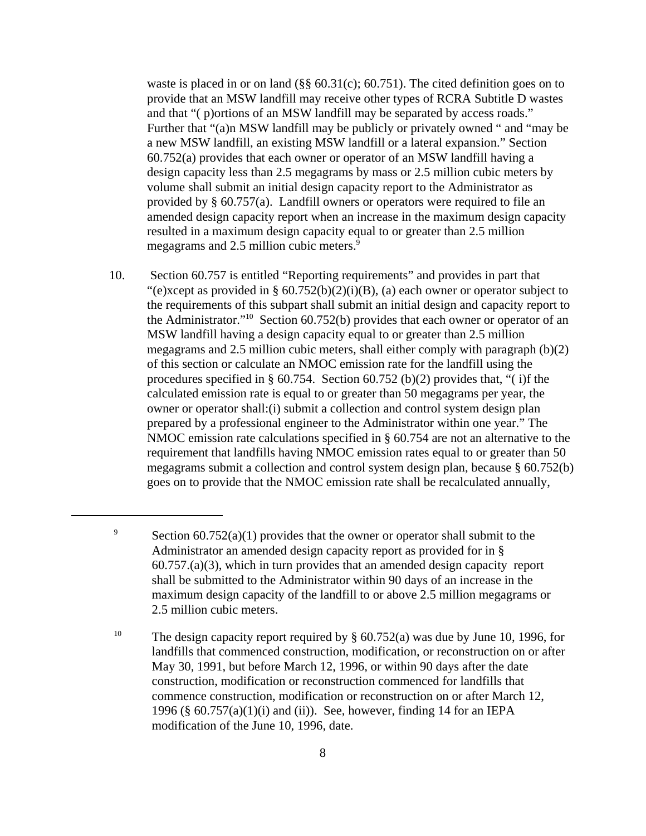waste is placed in or on land  $(\frac{8}{6}, \frac{60.31}{c})$ ; 60.751). The cited definition goes on to provide that an MSW landfill may receive other types of RCRA Subtitle D wastes and that "( p)ortions of an MSW landfill may be separated by access roads." Further that "(a)n MSW landfill may be publicly or privately owned " and "may be a new MSW landfill, an existing MSW landfill or a lateral expansion." Section 60.752(a) provides that each owner or operator of an MSW landfill having a design capacity less than 2.5 megagrams by mass or 2.5 million cubic meters by volume shall submit an initial design capacity report to the Administrator as provided by § 60.757(a). Landfill owners or operators were required to file an amended design capacity report when an increase in the maximum design capacity resulted in a maximum design capacity equal to or greater than 2.5 million megagrams and 2.5 million cubic meters.<sup>9</sup>

10. Section 60.757 is entitled "Reporting requirements" and provides in part that "(e)xcept as provided in §  $60.752(b)(2)(i)(B)$ , (a) each owner or operator subject to the requirements of this subpart shall submit an initial design and capacity report to the Administrator."<sup>10</sup> Section  $60.752(b)$  provides that each owner or operator of an MSW landfill having a design capacity equal to or greater than 2.5 million megagrams and 2.5 million cubic meters, shall either comply with paragraph (b)(2) of this section or calculate an NMOC emission rate for the landfill using the procedures specified in § 60.754. Section 60.752 (b)(2) provides that, "( i)f the calculated emission rate is equal to or greater than 50 megagrams per year, the owner or operator shall:(i) submit a collection and control system design plan prepared by a professional engineer to the Administrator within one year." The NMOC emission rate calculations specified in § 60.754 are not an alternative to the requirement that landfills having NMOC emission rates equal to or greater than 50 megagrams submit a collection and control system design plan, because § 60.752(b) goes on to provide that the NMOC emission rate shall be recalculated annually,

<sup>&</sup>lt;sup>9</sup> Section 60.752(a)(1) provides that the owner or operator shall submit to the Administrator an amended design capacity report as provided for in § 60.757.(a)(3), which in turn provides that an amended design capacity report shall be submitted to the Administrator within 90 days of an increase in the maximum design capacity of the landfill to or above 2.5 million megagrams or 2.5 million cubic meters.

<sup>&</sup>lt;sup>10</sup> The design capacity report required by  $\S$  60.752(a) was due by June 10, 1996, for landfills that commenced construction, modification, or reconstruction on or after May 30, 1991, but before March 12, 1996, or within 90 days after the date construction, modification or reconstruction commenced for landfills that commence construction, modification or reconstruction on or after March 12, 1996 (§  $60.757(a)(1)(i)$  and (ii)). See, however, finding 14 for an IEPA modification of the June 10, 1996, date.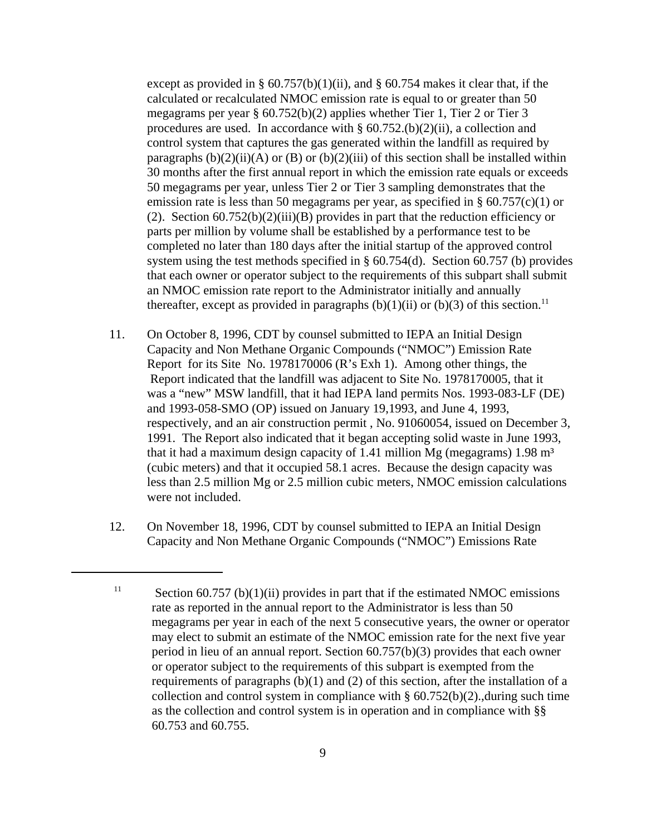except as provided in §  $60.757(b)(1)(ii)$ , and §  $60.754$  makes it clear that, if the calculated or recalculated NMOC emission rate is equal to or greater than 50 megagrams per year § 60.752(b)(2) applies whether Tier 1, Tier 2 or Tier 3 procedures are used. In accordance with  $\S 60.752(1)$ (2)(ii), a collection and control system that captures the gas generated within the landfill as required by paragraphs  $(b)(2)(ii)(A)$  or  $(B)$  or  $(b)(2)(iii)$  of this section shall be installed within 30 months after the first annual report in which the emission rate equals or exceeds 50 megagrams per year, unless Tier 2 or Tier 3 sampling demonstrates that the emission rate is less than 50 megagrams per year, as specified in  $\S 60.757(c)(1)$  or (2). Section  $60.752(b)(2)(iii)(B)$  provides in part that the reduction efficiency or parts per million by volume shall be established by a performance test to be completed no later than 180 days after the initial startup of the approved control system using the test methods specified in § 60.754(d). Section 60.757 (b) provides that each owner or operator subject to the requirements of this subpart shall submit an NMOC emission rate report to the Administrator initially and annually thereafter, except as provided in paragraphs  $(b)(1)(ii)$  or  $(b)(3)$  of this section.<sup>11</sup>

- 11. On October 8, 1996, CDT by counsel submitted to IEPA an Initial Design Capacity and Non Methane Organic Compounds ("NMOC") Emission Rate Report for its Site No. 1978170006 (R's Exh 1). Among other things, the Report indicated that the landfill was adjacent to Site No. 1978170005, that it was a "new" MSW landfill, that it had IEPA land permits Nos. 1993-083-LF (DE) and 1993-058-SMO (OP) issued on January 19,1993, and June 4, 1993, respectively, and an air construction permit , No. 91060054, issued on December 3, 1991. The Report also indicated that it began accepting solid waste in June 1993, that it had a maximum design capacity of 1.41 million Mg (megagrams)  $1.98 \text{ m}^3$ (cubic meters) and that it occupied 58.1 acres. Because the design capacity was less than 2.5 million Mg or 2.5 million cubic meters, NMOC emission calculations were not included.
- 12. On November 18, 1996, CDT by counsel submitted to IEPA an Initial Design Capacity and Non Methane Organic Compounds ("NMOC") Emissions Rate

Section  $60.757$  (b) $(1)(ii)$  provides in part that if the estimated NMOC emissions rate as reported in the annual report to the Administrator is less than 50 megagrams per year in each of the next 5 consecutive years, the owner or operator may elect to submit an estimate of the NMOC emission rate for the next five year period in lieu of an annual report. Section 60.757(b)(3) provides that each owner or operator subject to the requirements of this subpart is exempted from the requirements of paragraphs (b)(1) and (2) of this section, after the installation of a collection and control system in compliance with  $\S$  60.752(b)(2)., during such time as the collection and control system is in operation and in compliance with §§ 60.753 and 60.755. 11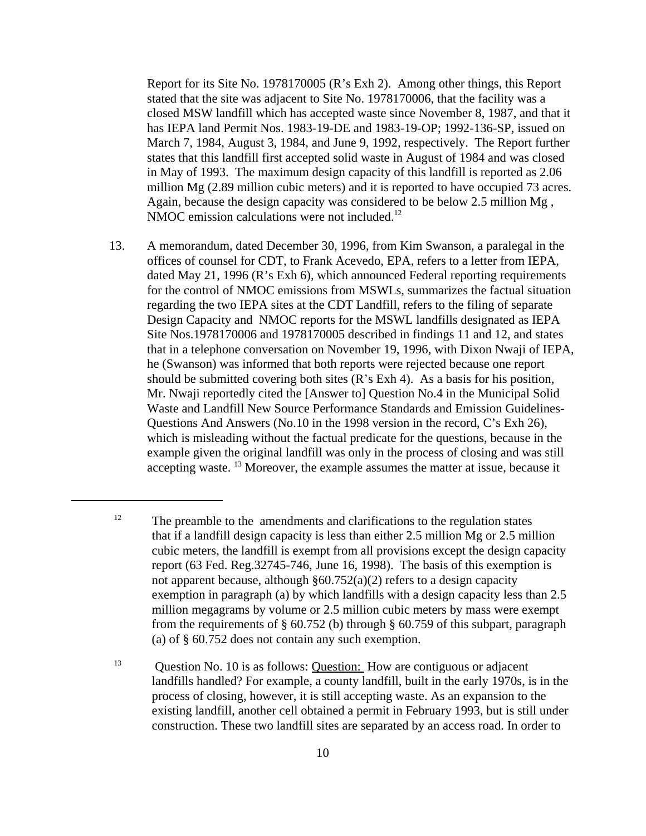Report for its Site No. 1978170005 (R's Exh 2). Among other things, this Report stated that the site was adjacent to Site No. 1978170006, that the facility was a closed MSW landfill which has accepted waste since November 8, 1987, and that it has IEPA land Permit Nos. 1983-19-DE and 1983-19-OP; 1992-136-SP, issued on March 7, 1984, August 3, 1984, and June 9, 1992, respectively. The Report further states that this landfill first accepted solid waste in August of 1984 and was closed in May of 1993. The maximum design capacity of this landfill is reported as 2.06 million Mg (2.89 million cubic meters) and it is reported to have occupied 73 acres. Again, because the design capacity was considered to be below 2.5 million Mg , NMOC emission calculations were not included.<sup>12</sup>

13. A memorandum, dated December 30, 1996, from Kim Swanson, a paralegal in the offices of counsel for CDT, to Frank Acevedo, EPA, refers to a letter from IEPA, dated May 21, 1996 (R's Exh 6), which announced Federal reporting requirements for the control of NMOC emissions from MSWLs, summarizes the factual situation regarding the two IEPA sites at the CDT Landfill, refers to the filing of separate Design Capacity and NMOC reports for the MSWL landfills designated as IEPA Site Nos.1978170006 and 1978170005 described in findings 11 and 12, and states that in a telephone conversation on November 19, 1996, with Dixon Nwaji of IEPA, he (Swanson) was informed that both reports were rejected because one report should be submitted covering both sites (R's Exh 4). As a basis for his position, Mr. Nwaji reportedly cited the [Answer to] Question No.4 in the Municipal Solid Waste and Landfill New Source Performance Standards and Emission Guidelines-Questions And Answers (No.10 in the 1998 version in the record, C's Exh 26), which is misleading without the factual predicate for the questions, because in the example given the original landfill was only in the process of closing and was still accepting waste. 13 Moreover, the example assumes the matter at issue, because it

 $12$  The preamble to the amendments and clarifications to the regulation states that if a landfill design capacity is less than either 2.5 million Mg or 2.5 million cubic meters, the landfill is exempt from all provisions except the design capacity report (63 Fed. Reg.32745-746, June 16, 1998). The basis of this exemption is not apparent because, although §60.752(a)(2) refers to a design capacity exemption in paragraph (a) by which landfills with a design capacity less than 2.5 million megagrams by volume or 2.5 million cubic meters by mass were exempt from the requirements of  $\S$  60.752 (b) through  $\S$  60.759 of this subpart, paragraph (a) of § 60.752 does not contain any such exemption.

<sup>&</sup>lt;sup>13</sup> Question No. 10 is as follows: Question: How are contiguous or adjacent landfills handled? For example, a county landfill, built in the early 1970s, is in the process of closing, however, it is still accepting waste. As an expansion to the existing landfill, another cell obtained a permit in February 1993, but is still under construction. These two landfill sites are separated by an access road. In order to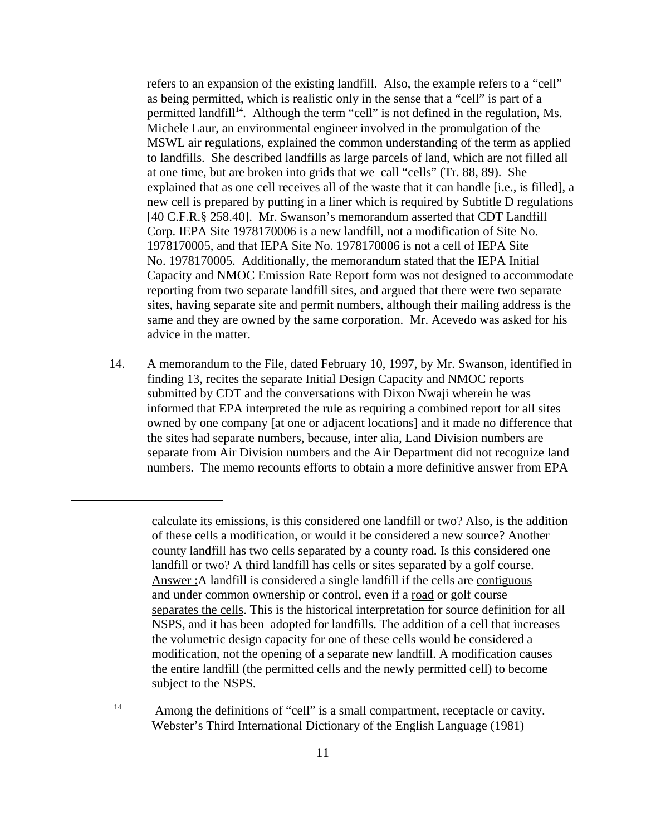refers to an expansion of the existing landfill. Also, the example refers to a "cell" as being permitted, which is realistic only in the sense that a "cell" is part of a permitted landfill<sup>14</sup>. Although the term "cell" is not defined in the regulation, Ms. Michele Laur, an environmental engineer involved in the promulgation of the MSWL air regulations, explained the common understanding of the term as applied to landfills. She described landfills as large parcels of land, which are not filled all at one time, but are broken into grids that we call "cells" (Tr. 88, 89). She explained that as one cell receives all of the waste that it can handle [i.e., is filled], a new cell is prepared by putting in a liner which is required by Subtitle D regulations [40 C.F.R.§ 258.40]. Mr. Swanson's memorandum asserted that CDT Landfill Corp. IEPA Site 1978170006 is a new landfill, not a modification of Site No. 1978170005, and that IEPA Site No. 1978170006 is not a cell of IEPA Site No. 1978170005. Additionally, the memorandum stated that the IEPA Initial Capacity and NMOC Emission Rate Report form was not designed to accommodate reporting from two separate landfill sites, and argued that there were two separate sites, having separate site and permit numbers, although their mailing address is the same and they are owned by the same corporation. Mr. Acevedo was asked for his advice in the matter.

14. A memorandum to the File, dated February 10, 1997, by Mr. Swanson, identified in finding 13, recites the separate Initial Design Capacity and NMOC reports submitted by CDT and the conversations with Dixon Nwaji wherein he was informed that EPA interpreted the rule as requiring a combined report for all sites owned by one company [at one or adjacent locations] and it made no difference that the sites had separate numbers, because, inter alia, Land Division numbers are separate from Air Division numbers and the Air Department did not recognize land numbers. The memo recounts efforts to obtain a more definitive answer from EPA

calculate its emissions, is this considered one landfill or two? Also, is the addition of these cells a modification, or would it be considered a new source? Another county landfill has two cells separated by a county road. Is this considered one landfill or two? A third landfill has cells or sites separated by a golf course. Answer : A landfill is considered a single landfill if the cells are contiguous and under common ownership or control, even if a road or golf course separates the cells. This is the historical interpretation for source definition for all NSPS, and it has been adopted for landfills. The addition of a cell that increases the volumetric design capacity for one of these cells would be considered a modification, not the opening of a separate new landfill. A modification causes the entire landfill (the permitted cells and the newly permitted cell) to become subject to the NSPS.

<sup>&</sup>lt;sup>14</sup> Among the definitions of "cell" is a small compartment, receptacle or cavity. Webster's Third International Dictionary of the English Language (1981)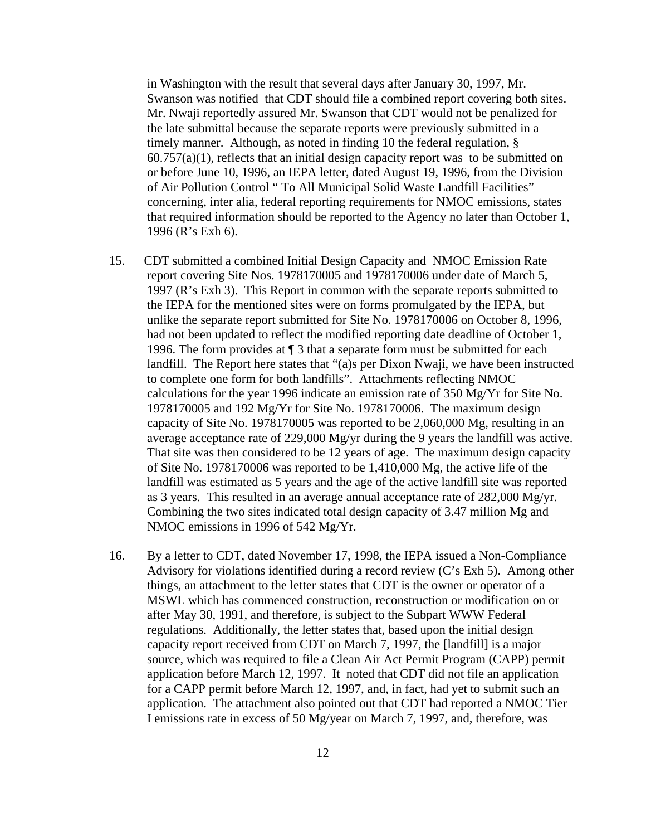in Washington with the result that several days after January 30, 1997, Mr. Swanson was notified that CDT should file a combined report covering both sites. Mr. Nwaji reportedly assured Mr. Swanson that CDT would not be penalized for the late submittal because the separate reports were previously submitted in a timely manner. Although, as noted in finding 10 the federal regulation, §  $60.757(a)(1)$ , reflects that an initial design capacity report was to be submitted on or before June 10, 1996, an IEPA letter, dated August 19, 1996, from the Division of Air Pollution Control " To All Municipal Solid Waste Landfill Facilities" concerning, inter alia, federal reporting requirements for NMOC emissions, states that required information should be reported to the Agency no later than October 1, 1996 (R's Exh 6).

- 15. CDT submitted a combined Initial Design Capacity and NMOC Emission Rate report covering Site Nos. 1978170005 and 1978170006 under date of March 5, 1997 (R's Exh 3). This Report in common with the separate reports submitted to the IEPA for the mentioned sites were on forms promulgated by the IEPA, but unlike the separate report submitted for Site No. 1978170006 on October 8, 1996, had not been updated to reflect the modified reporting date deadline of October 1, 1996. The form provides at ¶ 3 that a separate form must be submitted for each landfill. The Report here states that "(a)s per Dixon Nwaji, we have been instructed to complete one form for both landfills". Attachments reflecting NMOC calculations for the year 1996 indicate an emission rate of 350 Mg/Yr for Site No. 1978170005 and 192 Mg/Yr for Site No. 1978170006. The maximum design capacity of Site No. 1978170005 was reported to be 2,060,000 Mg, resulting in an average acceptance rate of 229,000 Mg/yr during the 9 years the landfill was active. That site was then considered to be 12 years of age. The maximum design capacity of Site No. 1978170006 was reported to be 1,410,000 Mg, the active life of the landfill was estimated as 5 years and the age of the active landfill site was reported as 3 years. This resulted in an average annual acceptance rate of 282,000 Mg/yr. Combining the two sites indicated total design capacity of 3.47 million Mg and NMOC emissions in 1996 of 542 Mg/Yr.
- 16. By a letter to CDT, dated November 17, 1998, the IEPA issued a Non-Compliance Advisory for violations identified during a record review (C's Exh 5). Among other things, an attachment to the letter states that CDT is the owner or operator of a MSWL which has commenced construction, reconstruction or modification on or after May 30, 1991, and therefore, is subject to the Subpart WWW Federal regulations. Additionally, the letter states that, based upon the initial design capacity report received from CDT on March 7, 1997, the [landfill] is a major source, which was required to file a Clean Air Act Permit Program (CAPP) permit application before March 12, 1997. It noted that CDT did not file an application for a CAPP permit before March 12, 1997, and, in fact, had yet to submit such an application. The attachment also pointed out that CDT had reported a NMOC Tier I emissions rate in excess of 50 Mg/year on March 7, 1997, and, therefore, was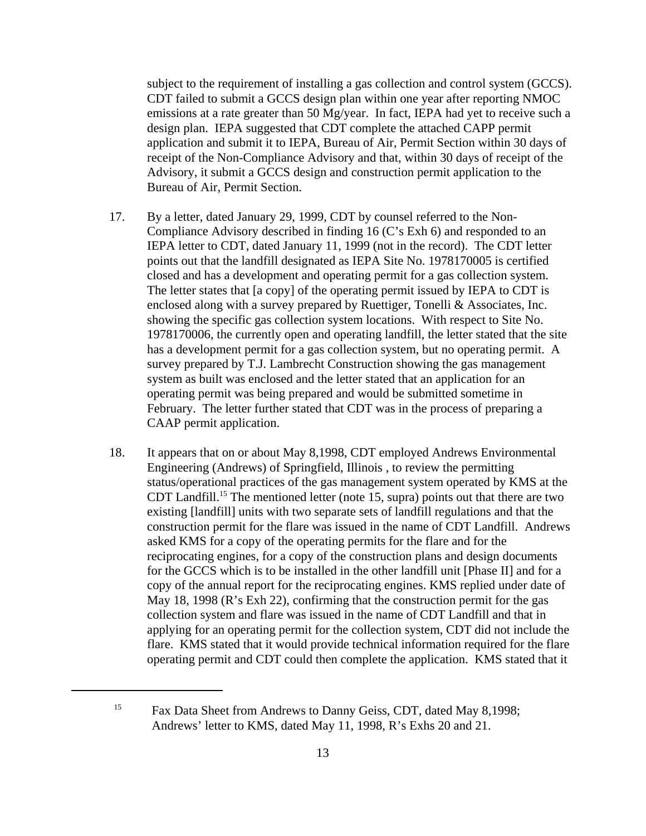subject to the requirement of installing a gas collection and control system (GCCS). CDT failed to submit a GCCS design plan within one year after reporting NMOC emissions at a rate greater than 50 Mg/year. In fact, IEPA had yet to receive such a design plan. IEPA suggested that CDT complete the attached CAPP permit application and submit it to IEPA, Bureau of Air, Permit Section within 30 days of receipt of the Non-Compliance Advisory and that, within 30 days of receipt of the Advisory, it submit a GCCS design and construction permit application to the Bureau of Air, Permit Section.

- 17. By a letter, dated January 29, 1999, CDT by counsel referred to the Non-Compliance Advisory described in finding 16 (C's Exh 6) and responded to an IEPA letter to CDT, dated January 11, 1999 (not in the record). The CDT letter points out that the landfill designated as IEPA Site No. 1978170005 is certified closed and has a development and operating permit for a gas collection system. The letter states that [a copy] of the operating permit issued by IEPA to CDT is enclosed along with a survey prepared by Ruettiger, Tonelli & Associates, Inc. showing the specific gas collection system locations. With respect to Site No. 1978170006, the currently open and operating landfill, the letter stated that the site has a development permit for a gas collection system, but no operating permit. A survey prepared by T.J. Lambrecht Construction showing the gas management system as built was enclosed and the letter stated that an application for an operating permit was being prepared and would be submitted sometime in February. The letter further stated that CDT was in the process of preparing a CAAP permit application.
- 18. It appears that on or about May 8,1998, CDT employed Andrews Environmental Engineering (Andrews) of Springfield, Illinois , to review the permitting status/operational practices of the gas management system operated by KMS at the CDT Landfill.15 The mentioned letter (note 15, supra) points out that there are two existing [landfill] units with two separate sets of landfill regulations and that the construction permit for the flare was issued in the name of CDT Landfill. Andrews asked KMS for a copy of the operating permits for the flare and for the reciprocating engines, for a copy of the construction plans and design documents for the GCCS which is to be installed in the other landfill unit [Phase II] and for a copy of the annual report for the reciprocating engines. KMS replied under date of May 18, 1998 (R's Exh 22), confirming that the construction permit for the gas collection system and flare was issued in the name of CDT Landfill and that in applying for an operating permit for the collection system, CDT did not include the flare. KMS stated that it would provide technical information required for the flare operating permit and CDT could then complete the application. KMS stated that it

<sup>&</sup>lt;sup>15</sup> Fax Data Sheet from Andrews to Danny Geiss, CDT, dated May 8,1998; Andrews' letter to KMS, dated May 11, 1998, R's Exhs 20 and 21.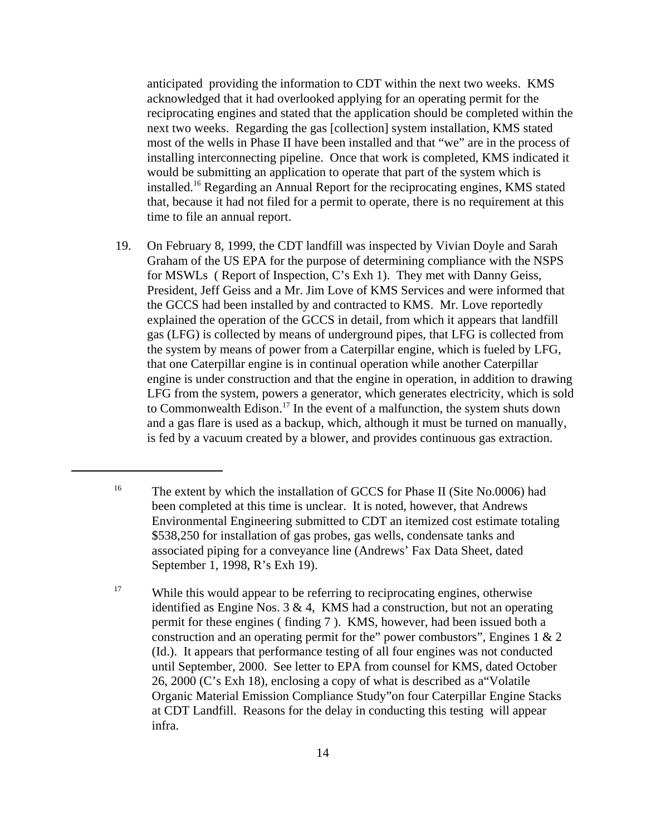anticipated providing the information to CDT within the next two weeks. KMS acknowledged that it had overlooked applying for an operating permit for the reciprocating engines and stated that the application should be completed within the next two weeks. Regarding the gas [collection] system installation, KMS stated most of the wells in Phase II have been installed and that "we" are in the process of installing interconnecting pipeline. Once that work is completed, KMS indicated it would be submitting an application to operate that part of the system which is installed.16 Regarding an Annual Report for the reciprocating engines, KMS stated that, because it had not filed for a permit to operate, there is no requirement at this time to file an annual report.

19. On February 8, 1999, the CDT landfill was inspected by Vivian Doyle and Sarah Graham of the US EPA for the purpose of determining compliance with the NSPS for MSWLs ( Report of Inspection, C's Exh 1). They met with Danny Geiss, President, Jeff Geiss and a Mr. Jim Love of KMS Services and were informed that the GCCS had been installed by and contracted to KMS. Mr. Love reportedly explained the operation of the GCCS in detail, from which it appears that landfill gas (LFG) is collected by means of underground pipes, that LFG is collected from the system by means of power from a Caterpillar engine, which is fueled by LFG, that one Caterpillar engine is in continual operation while another Caterpillar engine is under construction and that the engine in operation, in addition to drawing LFG from the system, powers a generator, which generates electricity, which is sold to Commonwealth Edison.17 In the event of a malfunction, the system shuts down and a gas flare is used as a backup, which, although it must be turned on manually, is fed by a vacuum created by a blower, and provides continuous gas extraction.

<sup>&</sup>lt;sup>16</sup> The extent by which the installation of GCCS for Phase II (Site No.0006) had been completed at this time is unclear. It is noted, however, that Andrews Environmental Engineering submitted to CDT an itemized cost estimate totaling \$538,250 for installation of gas probes, gas wells, condensate tanks and associated piping for a conveyance line (Andrews' Fax Data Sheet, dated September 1, 1998, R's Exh 19).

<sup>&</sup>lt;sup>17</sup> While this would appear to be referring to reciprocating engines, otherwise identified as Engine Nos.  $3 \& 4$ , KMS had a construction, but not an operating permit for these engines ( finding 7 ). KMS, however, had been issued both a construction and an operating permit for the" power combustors", Engines 1 & 2 (Id.). It appears that performance testing of all four engines was not conducted until September, 2000. See letter to EPA from counsel for KMS, dated October 26, 2000 (C's Exh 18), enclosing a copy of what is described as a"Volatile Organic Material Emission Compliance Study"on four Caterpillar Engine Stacks at CDT Landfill. Reasons for the delay in conducting this testing will appear infra.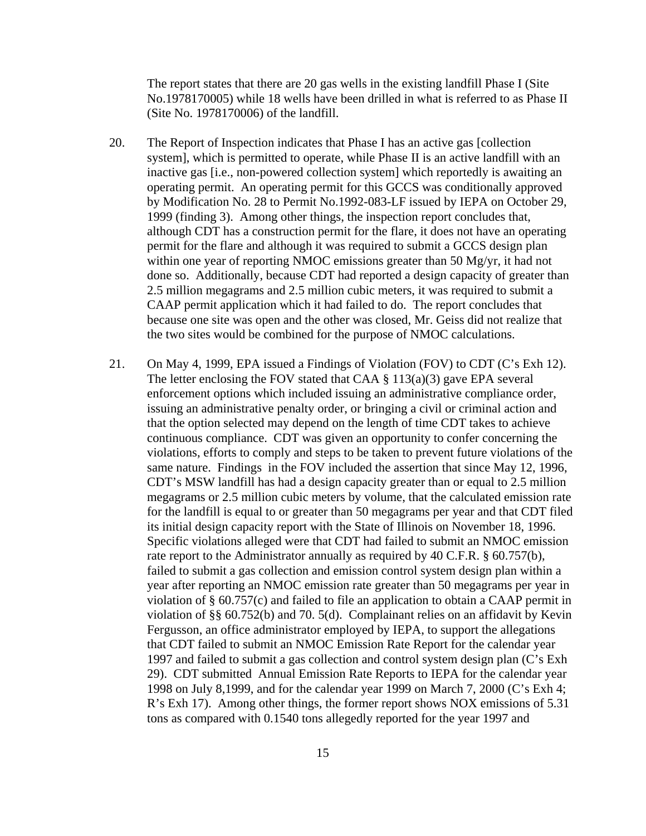The report states that there are 20 gas wells in the existing landfill Phase I (Site No.1978170005) while 18 wells have been drilled in what is referred to as Phase II (Site No. 1978170006) of the landfill.

- 20. The Report of Inspection indicates that Phase I has an active gas [collection system], which is permitted to operate, while Phase II is an active landfill with an inactive gas [i.e., non-powered collection system] which reportedly is awaiting an operating permit. An operating permit for this GCCS was conditionally approved by Modification No. 28 to Permit No.1992-083-LF issued by IEPA on October 29, 1999 (finding 3). Among other things, the inspection report concludes that, although CDT has a construction permit for the flare, it does not have an operating permit for the flare and although it was required to submit a GCCS design plan within one year of reporting NMOC emissions greater than 50 Mg/yr, it had not done so. Additionally, because CDT had reported a design capacity of greater than 2.5 million megagrams and 2.5 million cubic meters, it was required to submit a CAAP permit application which it had failed to do. The report concludes that because one site was open and the other was closed, Mr. Geiss did not realize that the two sites would be combined for the purpose of NMOC calculations.
- 21. On May 4, 1999, EPA issued a Findings of Violation (FOV) to CDT (C's Exh 12). The letter enclosing the FOV stated that CAA  $\S$  113(a)(3) gave EPA several enforcement options which included issuing an administrative compliance order, issuing an administrative penalty order, or bringing a civil or criminal action and that the option selected may depend on the length of time CDT takes to achieve continuous compliance. CDT was given an opportunity to confer concerning the violations, efforts to comply and steps to be taken to prevent future violations of the same nature. Findings in the FOV included the assertion that since May 12, 1996, CDT's MSW landfill has had a design capacity greater than or equal to 2.5 million megagrams or 2.5 million cubic meters by volume, that the calculated emission rate for the landfill is equal to or greater than 50 megagrams per year and that CDT filed its initial design capacity report with the State of Illinois on November 18, 1996. Specific violations alleged were that CDT had failed to submit an NMOC emission rate report to the Administrator annually as required by 40 C.F.R. § 60.757(b), failed to submit a gas collection and emission control system design plan within a year after reporting an NMOC emission rate greater than 50 megagrams per year in violation of § 60.757(c) and failed to file an application to obtain a CAAP permit in violation of §§ 60.752(b) and 70. 5(d). Complainant relies on an affidavit by Kevin Fergusson, an office administrator employed by IEPA, to support the allegations that CDT failed to submit an NMOC Emission Rate Report for the calendar year 1997 and failed to submit a gas collection and control system design plan (C's Exh 29). CDT submitted Annual Emission Rate Reports to IEPA for the calendar year 1998 on July 8,1999, and for the calendar year 1999 on March 7, 2000 (C's Exh 4; R's Exh 17). Among other things, the former report shows NOX emissions of 5.31 tons as compared with 0.1540 tons allegedly reported for the year 1997 and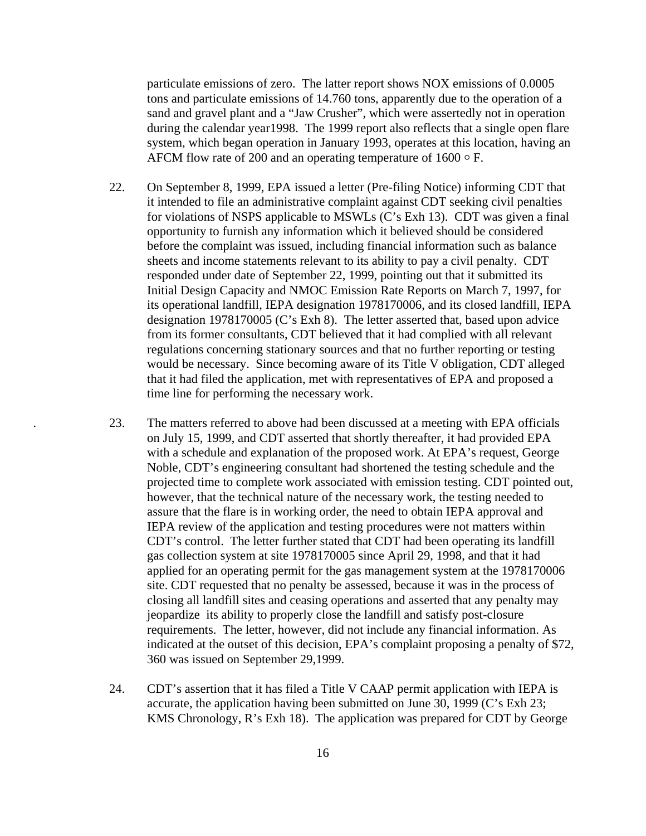particulate emissions of zero. The latter report shows NOX emissions of 0.0005 tons and particulate emissions of 14.760 tons, apparently due to the operation of a sand and gravel plant and a "Jaw Crusher", which were assertedly not in operation during the calendar year1998. The 1999 report also reflects that a single open flare system, which began operation in January 1993, operates at this location, having an AFCM flow rate of 200 and an operating temperature of  $1600 \circ F$ .

- 22. On September 8, 1999, EPA issued a letter (Pre-filing Notice) informing CDT that it intended to file an administrative complaint against CDT seeking civil penalties for violations of NSPS applicable to MSWLs (C's Exh 13). CDT was given a final opportunity to furnish any information which it believed should be considered before the complaint was issued, including financial information such as balance sheets and income statements relevant to its ability to pay a civil penalty. CDT responded under date of September 22, 1999, pointing out that it submitted its Initial Design Capacity and NMOC Emission Rate Reports on March 7, 1997, for its operational landfill, IEPA designation 1978170006, and its closed landfill, IEPA designation 1978170005 (C's Exh 8). The letter asserted that, based upon advice from its former consultants, CDT believed that it had complied with all relevant regulations concerning stationary sources and that no further reporting or testing would be necessary. Since becoming aware of its Title V obligation, CDT alleged that it had filed the application, met with representatives of EPA and proposed a time line for performing the necessary work.
- . 23. The matters referred to above had been discussed at a meeting with EPA officials on July 15, 1999, and CDT asserted that shortly thereafter, it had provided EPA with a schedule and explanation of the proposed work. At EPA's request, George Noble, CDT's engineering consultant had shortened the testing schedule and the projected time to complete work associated with emission testing. CDT pointed out, however, that the technical nature of the necessary work, the testing needed to assure that the flare is in working order, the need to obtain IEPA approval and IEPA review of the application and testing procedures were not matters within CDT's control. The letter further stated that CDT had been operating its landfill gas collection system at site 1978170005 since April 29, 1998, and that it had applied for an operating permit for the gas management system at the 1978170006 site. CDT requested that no penalty be assessed, because it was in the process of closing all landfill sites and ceasing operations and asserted that any penalty may jeopardize its ability to properly close the landfill and satisfy post-closure requirements. The letter, however, did not include any financial information. As indicated at the outset of this decision, EPA's complaint proposing a penalty of \$72, 360 was issued on September 29,1999.
- 24. CDT's assertion that it has filed a Title V CAAP permit application with IEPA is accurate, the application having been submitted on June 30, 1999 (C's Exh 23; KMS Chronology, R's Exh 18). The application was prepared for CDT by George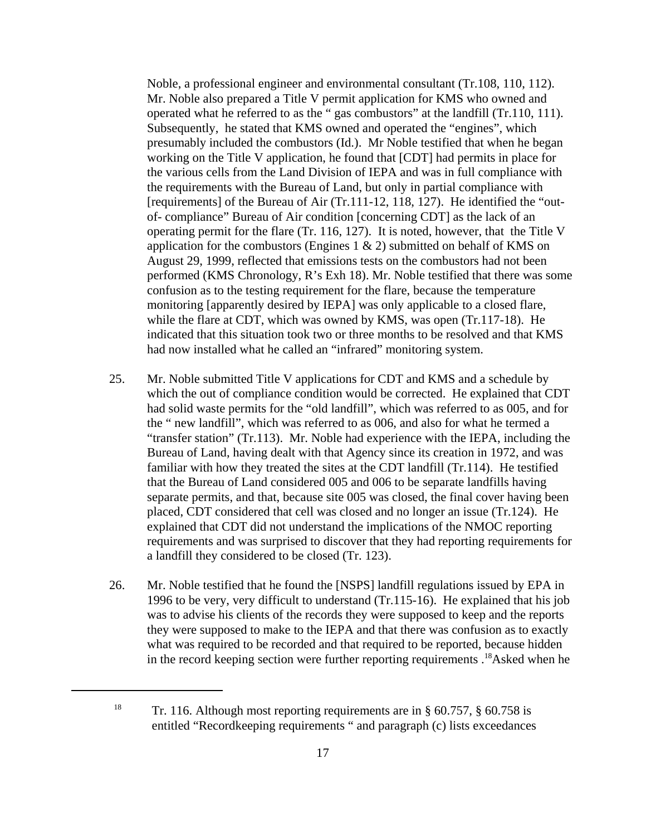Noble, a professional engineer and environmental consultant (Tr.108, 110, 112). Mr. Noble also prepared a Title V permit application for KMS who owned and operated what he referred to as the " gas combustors" at the landfill (Tr.110, 111). Subsequently, he stated that KMS owned and operated the "engines", which presumably included the combustors (Id.). Mr Noble testified that when he began working on the Title V application, he found that [CDT] had permits in place for the various cells from the Land Division of IEPA and was in full compliance with the requirements with the Bureau of Land, but only in partial compliance with [requirements] of the Bureau of Air (Tr.111-12, 118, 127). He identified the "outof- compliance" Bureau of Air condition [concerning CDT] as the lack of an operating permit for the flare (Tr. 116, 127). It is noted, however, that the Title V application for the combustors (Engines  $1 \& 2$ ) submitted on behalf of KMS on August 29, 1999, reflected that emissions tests on the combustors had not been performed (KMS Chronology, R's Exh 18). Mr. Noble testified that there was some confusion as to the testing requirement for the flare, because the temperature monitoring [apparently desired by IEPA] was only applicable to a closed flare, while the flare at CDT, which was owned by KMS, was open (Tr.117-18). He indicated that this situation took two or three months to be resolved and that KMS had now installed what he called an "infrared" monitoring system.

- 25. Mr. Noble submitted Title V applications for CDT and KMS and a schedule by which the out of compliance condition would be corrected. He explained that CDT had solid waste permits for the "old landfill", which was referred to as 005, and for the " new landfill", which was referred to as 006, and also for what he termed a "transfer station" (Tr.113). Mr. Noble had experience with the IEPA, including the Bureau of Land, having dealt with that Agency since its creation in 1972, and was familiar with how they treated the sites at the CDT landfill (Tr.114). He testified that the Bureau of Land considered 005 and 006 to be separate landfills having separate permits, and that, because site 005 was closed, the final cover having been placed, CDT considered that cell was closed and no longer an issue (Tr.124). He explained that CDT did not understand the implications of the NMOC reporting requirements and was surprised to discover that they had reporting requirements for a landfill they considered to be closed (Tr. 123).
- 26. Mr. Noble testified that he found the [NSPS] landfill regulations issued by EPA in 1996 to be very, very difficult to understand (Tr.115-16). He explained that his job was to advise his clients of the records they were supposed to keep and the reports they were supposed to make to the IEPA and that there was confusion as to exactly what was required to be recorded and that required to be reported, because hidden in the record keeping section were further reporting requirements .18Asked when he

<sup>&</sup>lt;sup>18</sup> Tr. 116. Although most reporting requirements are in  $\S$  60.757,  $\S$  60.758 is entitled "Recordkeeping requirements " and paragraph (c) lists exceedances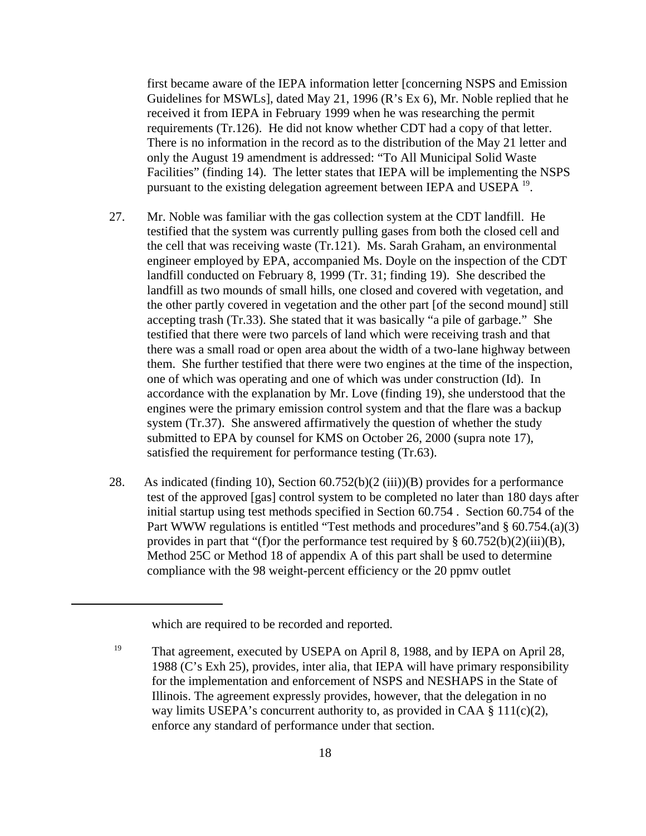first became aware of the IEPA information letter [concerning NSPS and Emission Guidelines for MSWLs], dated May 21, 1996 (R's Ex 6), Mr. Noble replied that he received it from IEPA in February 1999 when he was researching the permit requirements (Tr.126). He did not know whether CDT had a copy of that letter. There is no information in the record as to the distribution of the May 21 letter and only the August 19 amendment is addressed: "To All Municipal Solid Waste Facilities" (finding 14). The letter states that IEPA will be implementing the NSPS pursuant to the existing delegation agreement between IEPA and USEPA 19.

- 27. Mr. Noble was familiar with the gas collection system at the CDT landfill. He testified that the system was currently pulling gases from both the closed cell and the cell that was receiving waste (Tr.121). Ms. Sarah Graham, an environmental engineer employed by EPA, accompanied Ms. Doyle on the inspection of the CDT landfill conducted on February 8, 1999 (Tr. 31; finding 19). She described the landfill as two mounds of small hills, one closed and covered with vegetation, and the other partly covered in vegetation and the other part [of the second mound] still accepting trash (Tr.33). She stated that it was basically "a pile of garbage." She testified that there were two parcels of land which were receiving trash and that there was a small road or open area about the width of a two-lane highway between them. She further testified that there were two engines at the time of the inspection, one of which was operating and one of which was under construction (Id). In accordance with the explanation by Mr. Love (finding 19), she understood that the engines were the primary emission control system and that the flare was a backup system (Tr.37). She answered affirmatively the question of whether the study submitted to EPA by counsel for KMS on October 26, 2000 (supra note 17), satisfied the requirement for performance testing (Tr.63).
- 28. As indicated (finding 10), Section 60.752(b)(2 (iii))(B) provides for a performance test of the approved [gas] control system to be completed no later than 180 days after initial startup using test methods specified in Section 60.754 . Section 60.754 of the Part WWW regulations is entitled "Test methods and procedures" and § 60.754.(a)(3) provides in part that "(f) or the performance test required by  $\S$  60.752(b)(2)(iii)(B), Method 25C or Method 18 of appendix A of this part shall be used to determine compliance with the 98 weight-percent efficiency or the 20 ppmv outlet

which are required to be recorded and reported.

<sup>&</sup>lt;sup>19</sup> That agreement, executed by USEPA on April 8, 1988, and by IEPA on April 28, 1988 (C's Exh 25), provides, inter alia, that IEPA will have primary responsibility for the implementation and enforcement of NSPS and NESHAPS in the State of Illinois. The agreement expressly provides, however, that the delegation in no way limits USEPA's concurrent authority to, as provided in CAA  $\S$  111(c)(2), enforce any standard of performance under that section.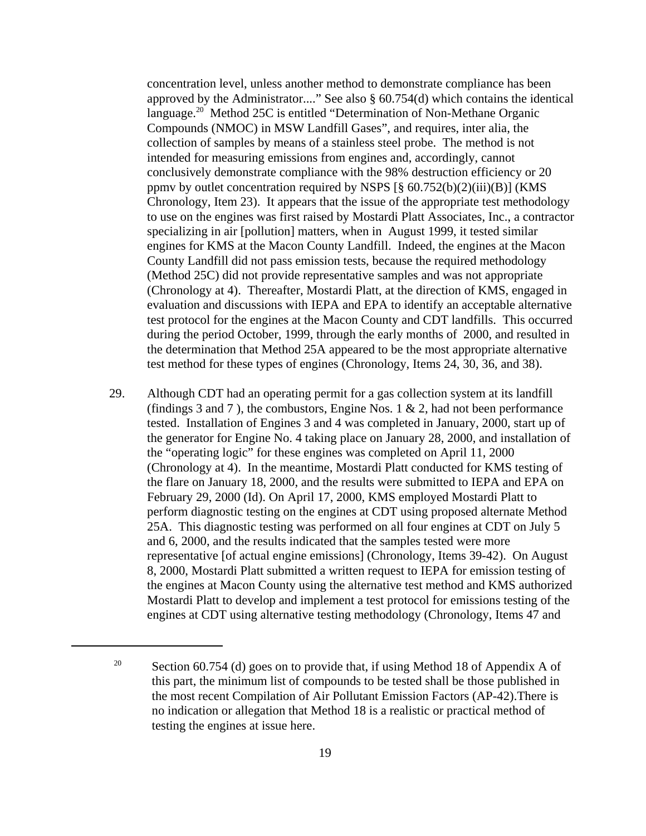concentration level, unless another method to demonstrate compliance has been approved by the Administrator...." See also § 60.754(d) which contains the identical language.<sup>20</sup> Method 25C is entitled "Determination of Non-Methane Organic Compounds (NMOC) in MSW Landfill Gases", and requires, inter alia, the collection of samples by means of a stainless steel probe. The method is not intended for measuring emissions from engines and, accordingly, cannot conclusively demonstrate compliance with the 98% destruction efficiency or 20 ppmv by outlet concentration required by NSPS  $[\S$  60.752(b)(2)(iii)(B)] (KMS Chronology, Item 23). It appears that the issue of the appropriate test methodology to use on the engines was first raised by Mostardi Platt Associates, Inc., a contractor specializing in air [pollution] matters, when in August 1999, it tested similar engines for KMS at the Macon County Landfill. Indeed, the engines at the Macon County Landfill did not pass emission tests, because the required methodology (Method 25C) did not provide representative samples and was not appropriate (Chronology at 4). Thereafter, Mostardi Platt, at the direction of KMS, engaged in evaluation and discussions with IEPA and EPA to identify an acceptable alternative test protocol for the engines at the Macon County and CDT landfills. This occurred during the period October, 1999, through the early months of 2000, and resulted in the determination that Method 25A appeared to be the most appropriate alternative test method for these types of engines (Chronology, Items 24, 30, 36, and 38).

29. Although CDT had an operating permit for a gas collection system at its landfill (findings 3 and 7), the combustors, Engine Nos. 1  $\&$  2, had not been performance tested. Installation of Engines 3 and 4 was completed in January, 2000, start up of the generator for Engine No. 4 taking place on January 28, 2000, and installation of the "operating logic" for these engines was completed on April 11, 2000 (Chronology at 4). In the meantime, Mostardi Platt conducted for KMS testing of the flare on January 18, 2000, and the results were submitted to IEPA and EPA on February 29, 2000 (Id). On April 17, 2000, KMS employed Mostardi Platt to perform diagnostic testing on the engines at CDT using proposed alternate Method 25A. This diagnostic testing was performed on all four engines at CDT on July 5 and 6, 2000, and the results indicated that the samples tested were more representative [of actual engine emissions] (Chronology, Items 39-42). On August 8, 2000, Mostardi Platt submitted a written request to IEPA for emission testing of the engines at Macon County using the alternative test method and KMS authorized Mostardi Platt to develop and implement a test protocol for emissions testing of the engines at CDT using alternative testing methodology (Chronology, Items 47 and

<sup>&</sup>lt;sup>20</sup> Section 60.754 (d) goes on to provide that, if using Method 18 of Appendix A of this part, the minimum list of compounds to be tested shall be those published in the most recent Compilation of Air Pollutant Emission Factors (AP-42).There is no indication or allegation that Method 18 is a realistic or practical method of testing the engines at issue here.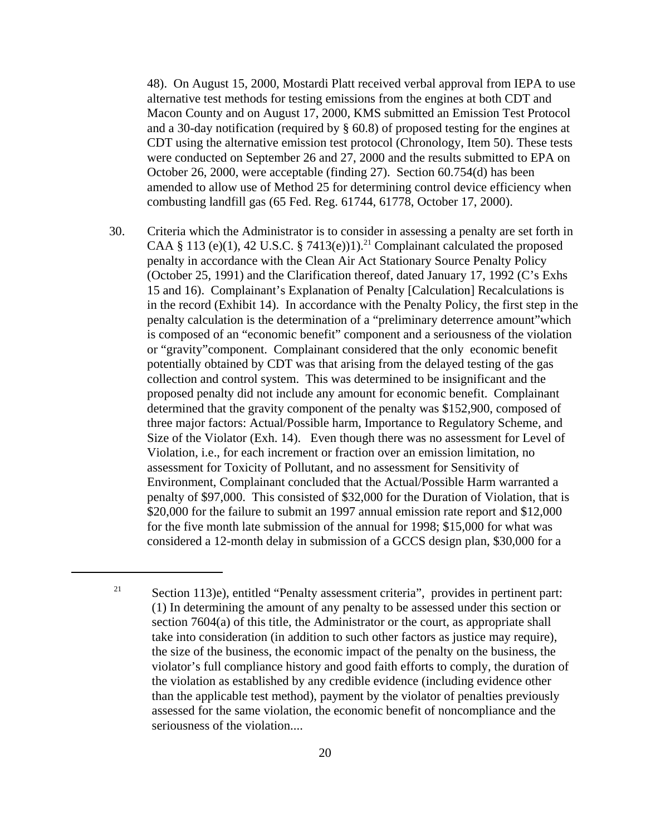48). On August 15, 2000, Mostardi Platt received verbal approval from IEPA to use alternative test methods for testing emissions from the engines at both CDT and Macon County and on August 17, 2000, KMS submitted an Emission Test Protocol and a 30-day notification (required by § 60.8) of proposed testing for the engines at CDT using the alternative emission test protocol (Chronology, Item 50). These tests were conducted on September 26 and 27, 2000 and the results submitted to EPA on October 26, 2000, were acceptable (finding 27). Section 60.754(d) has been amended to allow use of Method 25 for determining control device efficiency when combusting landfill gas (65 Fed. Reg. 61744, 61778, October 17, 2000).

30. Criteria which the Administrator is to consider in assessing a penalty are set forth in CAA § 113 (e)(1), 42 U.S.C. § 7413(e))1).<sup>21</sup> Complainant calculated the proposed penalty in accordance with the Clean Air Act Stationary Source Penalty Policy (October 25, 1991) and the Clarification thereof, dated January 17, 1992 (C's Exhs 15 and 16). Complainant's Explanation of Penalty [Calculation] Recalculations is in the record (Exhibit 14). In accordance with the Penalty Policy, the first step in the penalty calculation is the determination of a "preliminary deterrence amount"which is composed of an "economic benefit" component and a seriousness of the violation or "gravity"component. Complainant considered that the only economic benefit potentially obtained by CDT was that arising from the delayed testing of the gas collection and control system. This was determined to be insignificant and the proposed penalty did not include any amount for economic benefit. Complainant determined that the gravity component of the penalty was \$152,900, composed of three major factors: Actual/Possible harm, Importance to Regulatory Scheme, and Size of the Violator (Exh. 14). Even though there was no assessment for Level of Violation, i.e., for each increment or fraction over an emission limitation, no assessment for Toxicity of Pollutant, and no assessment for Sensitivity of Environment, Complainant concluded that the Actual/Possible Harm warranted a penalty of \$97,000. This consisted of \$32,000 for the Duration of Violation, that is \$20,000 for the failure to submit an 1997 annual emission rate report and \$12,000 for the five month late submission of the annual for 1998; \$15,000 for what was considered a 12-month delay in submission of a GCCS design plan, \$30,000 for a

Section 113)e), entitled "Penalty assessment criteria", provides in pertinent part: (1) In determining the amount of any penalty to be assessed under this section or section 7604(a) of this title, the Administrator or the court, as appropriate shall take into consideration (in addition to such other factors as justice may require), the size of the business, the economic impact of the penalty on the business, the violator's full compliance history and good faith efforts to comply, the duration of the violation as established by any credible evidence (including evidence other than the applicable test method), payment by the violator of penalties previously assessed for the same violation, the economic benefit of noncompliance and the seriousness of the violation.... 21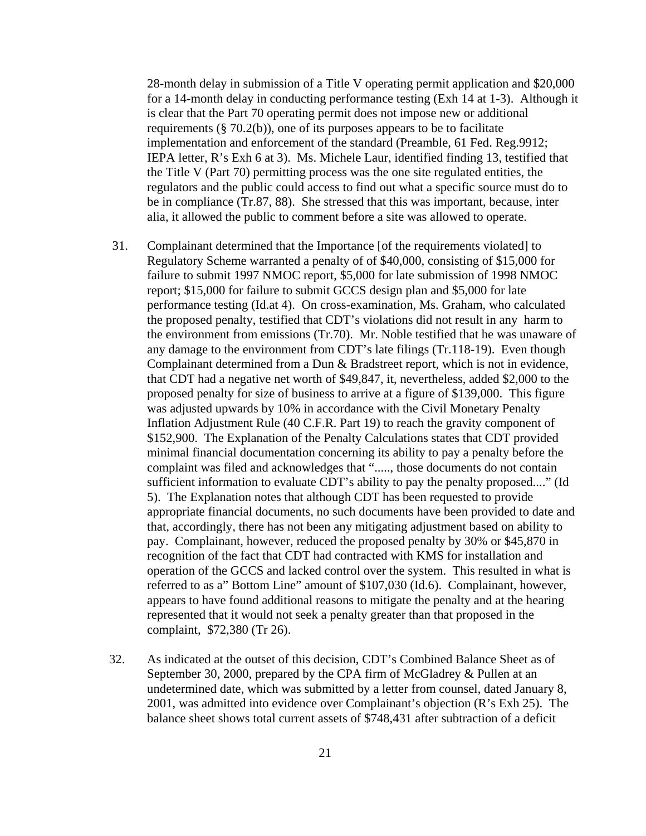28-month delay in submission of a Title V operating permit application and \$20,000 for a 14-month delay in conducting performance testing (Exh 14 at 1-3). Although it is clear that the Part 70 operating permit does not impose new or additional requirements ( $\S$  70.2(b)), one of its purposes appears to be to facilitate implementation and enforcement of the standard (Preamble, 61 Fed. Reg.9912; IEPA letter, R's Exh 6 at 3). Ms. Michele Laur, identified finding 13, testified that the Title V (Part 70) permitting process was the one site regulated entities, the regulators and the public could access to find out what a specific source must do to be in compliance (Tr.87, 88). She stressed that this was important, because, inter alia, it allowed the public to comment before a site was allowed to operate.

- 31. Complainant determined that the Importance [of the requirements violated] to Regulatory Scheme warranted a penalty of of \$40,000, consisting of \$15,000 for failure to submit 1997 NMOC report, \$5,000 for late submission of 1998 NMOC report; \$15,000 for failure to submit GCCS design plan and \$5,000 for late performance testing (Id.at 4). On cross-examination, Ms. Graham, who calculated the proposed penalty, testified that CDT's violations did not result in any harm to the environment from emissions (Tr.70). Mr. Noble testified that he was unaware of any damage to the environment from CDT's late filings (Tr.118-19). Even though Complainant determined from a Dun & Bradstreet report, which is not in evidence, that CDT had a negative net worth of \$49,847, it, nevertheless, added \$2,000 to the proposed penalty for size of business to arrive at a figure of \$139,000. This figure was adjusted upwards by 10% in accordance with the Civil Monetary Penalty Inflation Adjustment Rule (40 C.F.R. Part 19) to reach the gravity component of \$152,900. The Explanation of the Penalty Calculations states that CDT provided minimal financial documentation concerning its ability to pay a penalty before the complaint was filed and acknowledges that "....., those documents do not contain sufficient information to evaluate CDT's ability to pay the penalty proposed...." (Id 5). The Explanation notes that although CDT has been requested to provide appropriate financial documents, no such documents have been provided to date and that, accordingly, there has not been any mitigating adjustment based on ability to pay. Complainant, however, reduced the proposed penalty by 30% or \$45,870 in recognition of the fact that CDT had contracted with KMS for installation and operation of the GCCS and lacked control over the system. This resulted in what is referred to as a" Bottom Line" amount of \$107,030 (Id.6). Complainant, however, appears to have found additional reasons to mitigate the penalty and at the hearing represented that it would not seek a penalty greater than that proposed in the complaint, \$72,380 (Tr 26).
- 32. As indicated at the outset of this decision, CDT's Combined Balance Sheet as of September 30, 2000, prepared by the CPA firm of McGladrey & Pullen at an undetermined date, which was submitted by a letter from counsel, dated January 8, 2001, was admitted into evidence over Complainant's objection (R's Exh 25). The balance sheet shows total current assets of \$748,431 after subtraction of a deficit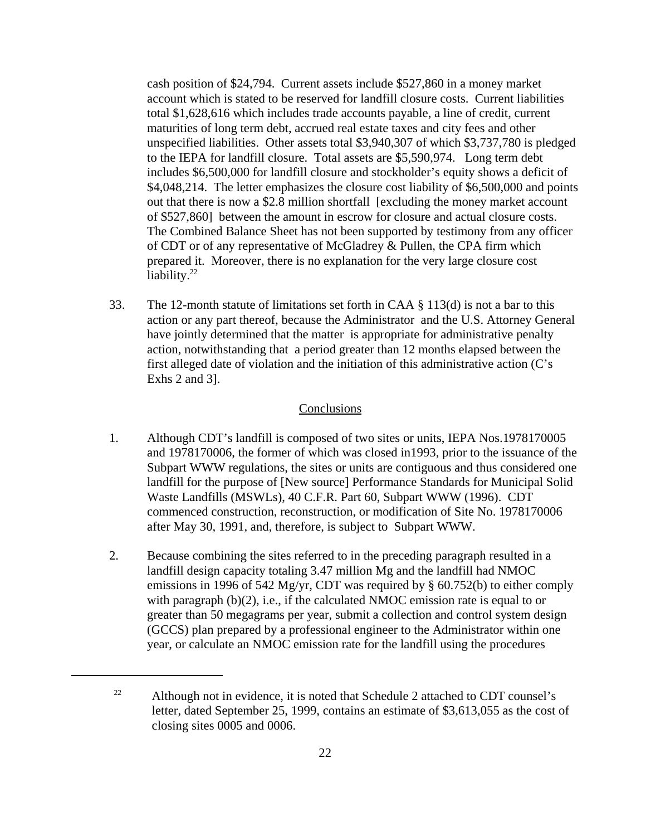cash position of \$24,794. Current assets include \$527,860 in a money market account which is stated to be reserved for landfill closure costs. Current liabilities total \$1,628,616 which includes trade accounts payable, a line of credit, current maturities of long term debt, accrued real estate taxes and city fees and other unspecified liabilities. Other assets total \$3,940,307 of which \$3,737,780 is pledged to the IEPA for landfill closure. Total assets are \$5,590,974. Long term debt includes \$6,500,000 for landfill closure and stockholder's equity shows a deficit of \$4,048,214. The letter emphasizes the closure cost liability of \$6,500,000 and points out that there is now a \$2.8 million shortfall [excluding the money market account of \$527,860] between the amount in escrow for closure and actual closure costs. The Combined Balance Sheet has not been supported by testimony from any officer of CDT or of any representative of McGladrey & Pullen, the CPA firm which prepared it. Moreover, there is no explanation for the very large closure cost liability.<sup>22</sup>

33. The 12-month statute of limitations set forth in CAA § 113(d) is not a bar to this action or any part thereof, because the Administrator and the U.S. Attorney General have jointly determined that the matter is appropriate for administrative penalty action, notwithstanding that a period greater than 12 months elapsed between the first alleged date of violation and the initiation of this administrative action (C's Exhs 2 and 3].

## **Conclusions**

- 1. Although CDT's landfill is composed of two sites or units, IEPA Nos.1978170005 and 1978170006, the former of which was closed in1993, prior to the issuance of the Subpart WWW regulations, the sites or units are contiguous and thus considered one landfill for the purpose of [New source] Performance Standards for Municipal Solid Waste Landfills (MSWLs), 40 C.F.R. Part 60, Subpart WWW (1996). CDT commenced construction, reconstruction, or modification of Site No. 1978170006 after May 30, 1991, and, therefore, is subject to Subpart WWW.
- 2. Because combining the sites referred to in the preceding paragraph resulted in a landfill design capacity totaling 3.47 million Mg and the landfill had NMOC emissions in 1996 of 542 Mg/yr, CDT was required by § 60.752(b) to either comply with paragraph (b)(2), i.e., if the calculated NMOC emission rate is equal to or greater than 50 megagrams per year, submit a collection and control system design (GCCS) plan prepared by a professional engineer to the Administrator within one year, or calculate an NMOC emission rate for the landfill using the procedures

<sup>&</sup>lt;sup>22</sup> Although not in evidence, it is noted that Schedule 2 attached to CDT counsel's letter, dated September 25, 1999, contains an estimate of \$3,613,055 as the cost of closing sites 0005 and 0006.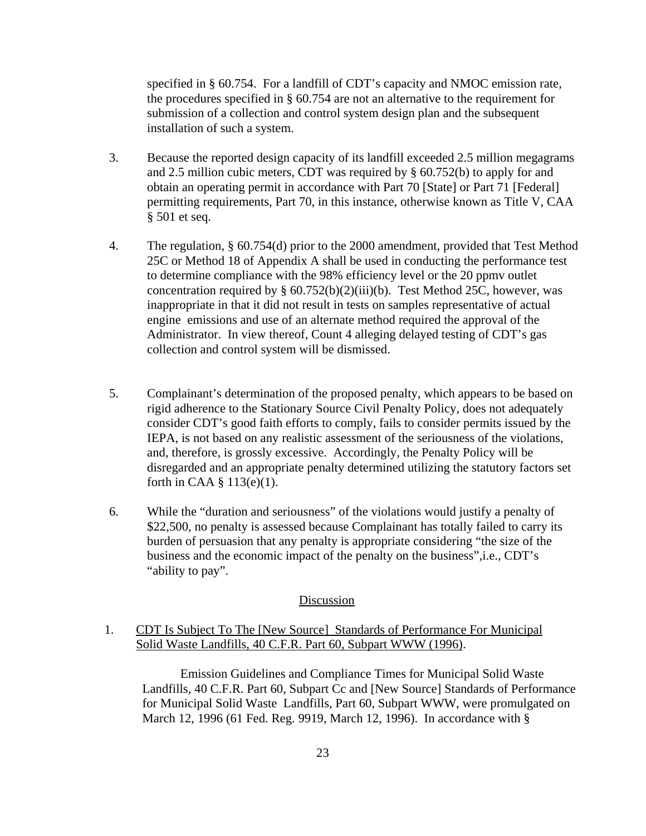specified in § 60.754. For a landfill of CDT's capacity and NMOC emission rate, the procedures specified in § 60.754 are not an alternative to the requirement for submission of a collection and control system design plan and the subsequent installation of such a system.

- 3. Because the reported design capacity of its landfill exceeded 2.5 million megagrams and 2.5 million cubic meters, CDT was required by § 60.752(b) to apply for and obtain an operating permit in accordance with Part 70 [State] or Part 71 [Federal] permitting requirements, Part 70, in this instance, otherwise known as Title V, CAA § 501 et seq.
- 4. The regulation, § 60.754(d) prior to the 2000 amendment, provided that Test Method 25C or Method 18 of Appendix A shall be used in conducting the performance test to determine compliance with the 98% efficiency level or the 20 ppmv outlet concentration required by  $\S 60.752(b)(2)(iii)(b)$ . Test Method 25C, however, was inappropriate in that it did not result in tests on samples representative of actual engine emissions and use of an alternate method required the approval of the Administrator. In view thereof, Count 4 alleging delayed testing of CDT's gas collection and control system will be dismissed.
- 5. Complainant's determination of the proposed penalty, which appears to be based on rigid adherence to the Stationary Source Civil Penalty Policy, does not adequately consider CDT's good faith efforts to comply, fails to consider permits issued by the IEPA, is not based on any realistic assessment of the seriousness of the violations, and, therefore, is grossly excessive. Accordingly, the Penalty Policy will be disregarded and an appropriate penalty determined utilizing the statutory factors set forth in CAA § 113(e)(1).
- 6. While the "duration and seriousness" of the violations would justify a penalty of \$22,500, no penalty is assessed because Complainant has totally failed to carry its burden of persuasion that any penalty is appropriate considering "the size of the business and the economic impact of the penalty on the business",i.e., CDT's "ability to pay".

### Discussion

## 1. CDT Is Subject To The [New Source] Standards of Performance For Municipal Solid Waste Landfills, 40 C.F.R. Part 60, Subpart WWW (1996).

Emission Guidelines and Compliance Times for Municipal Solid Waste Landfills, 40 C.F.R. Part 60, Subpart Cc and [New Source] Standards of Performance for Municipal Solid Waste Landfills, Part 60, Subpart WWW, were promulgated on March 12, 1996 (61 Fed. Reg. 9919, March 12, 1996). In accordance with §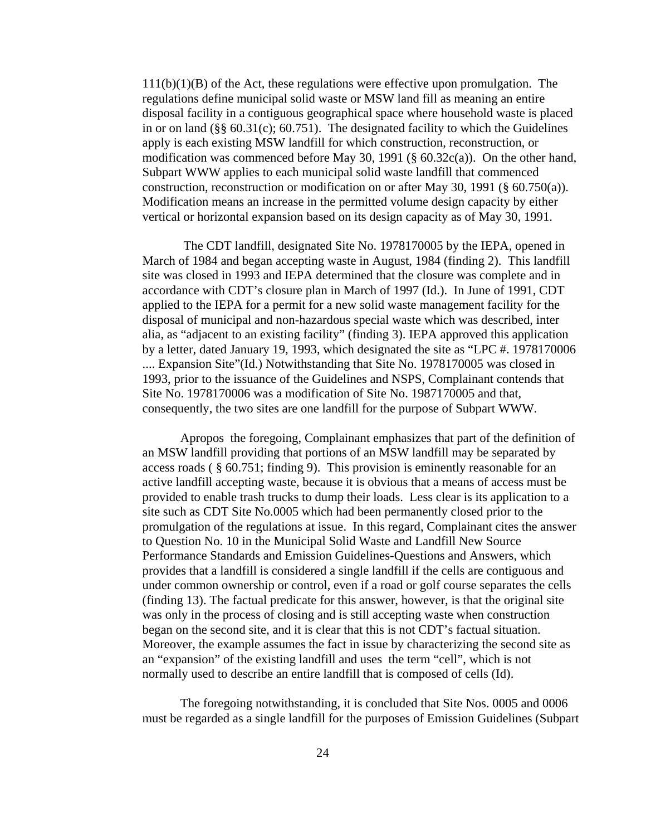$111(b)(1)(B)$  of the Act, these regulations were effective upon promulgation. The regulations define municipal solid waste or MSW land fill as meaning an entire disposal facility in a contiguous geographical space where household waste is placed in or on land  $(\S\$  60.31(c); 60.751). The designated facility to which the Guidelines apply is each existing MSW landfill for which construction, reconstruction, or modification was commenced before May 30, 1991 (§ 60.32c(a)). On the other hand, Subpart WWW applies to each municipal solid waste landfill that commenced construction, reconstruction or modification on or after May 30, 1991 (§ 60.750(a)). Modification means an increase in the permitted volume design capacity by either vertical or horizontal expansion based on its design capacity as of May 30, 1991.

The CDT landfill, designated Site No. 1978170005 by the IEPA, opened in March of 1984 and began accepting waste in August, 1984 (finding 2). This landfill site was closed in 1993 and IEPA determined that the closure was complete and in accordance with CDT's closure plan in March of 1997 (Id.). In June of 1991, CDT applied to the IEPA for a permit for a new solid waste management facility for the disposal of municipal and non-hazardous special waste which was described, inter alia, as "adjacent to an existing facility" (finding 3). IEPA approved this application by a letter, dated January 19, 1993, which designated the site as "LPC #. 1978170006 .... Expansion Site"(Id.) Notwithstanding that Site No. 1978170005 was closed in 1993, prior to the issuance of the Guidelines and NSPS, Complainant contends that Site No. 1978170006 was a modification of Site No. 1987170005 and that, consequently, the two sites are one landfill for the purpose of Subpart WWW.

Apropos the foregoing, Complainant emphasizes that part of the definition of an MSW landfill providing that portions of an MSW landfill may be separated by access roads ( § 60.751; finding 9). This provision is eminently reasonable for an active landfill accepting waste, because it is obvious that a means of access must be provided to enable trash trucks to dump their loads. Less clear is its application to a site such as CDT Site No.0005 which had been permanently closed prior to the promulgation of the regulations at issue. In this regard, Complainant cites the answer to Question No. 10 in the Municipal Solid Waste and Landfill New Source Performance Standards and Emission Guidelines-Questions and Answers, which provides that a landfill is considered a single landfill if the cells are contiguous and under common ownership or control, even if a road or golf course separates the cells (finding 13). The factual predicate for this answer, however, is that the original site was only in the process of closing and is still accepting waste when construction began on the second site, and it is clear that this is not CDT's factual situation. Moreover, the example assumes the fact in issue by characterizing the second site as an "expansion" of the existing landfill and uses the term "cell", which is not normally used to describe an entire landfill that is composed of cells (Id).

The foregoing notwithstanding, it is concluded that Site Nos. 0005 and 0006 must be regarded as a single landfill for the purposes of Emission Guidelines (Subpart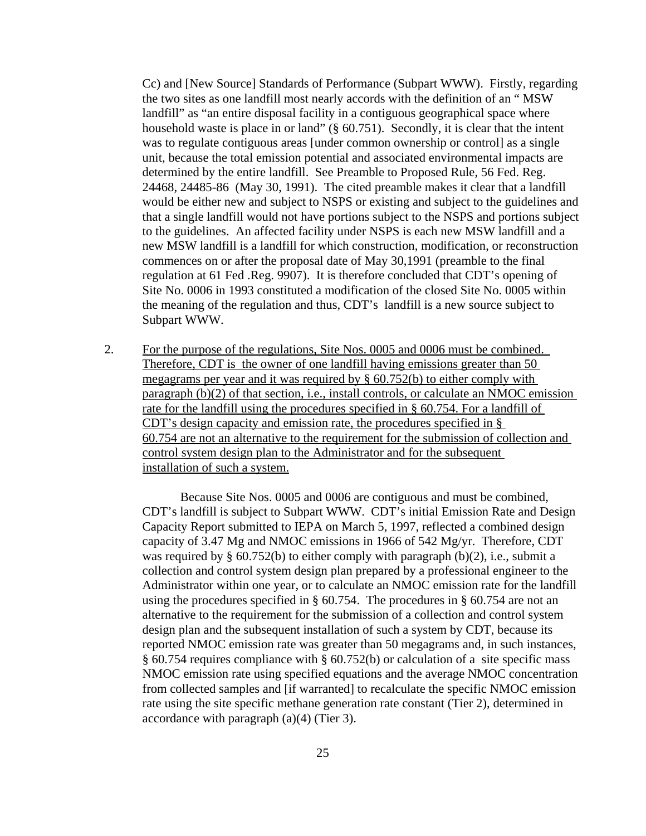Cc) and [New Source] Standards of Performance (Subpart WWW). Firstly, regarding the two sites as one landfill most nearly accords with the definition of an " MSW landfill" as "an entire disposal facility in a contiguous geographical space where household waste is place in or land" (§ 60.751). Secondly, it is clear that the intent was to regulate contiguous areas [under common ownership or control] as a single unit, because the total emission potential and associated environmental impacts are determined by the entire landfill. See Preamble to Proposed Rule, 56 Fed. Reg. 24468, 24485-86 (May 30, 1991). The cited preamble makes it clear that a landfill would be either new and subject to NSPS or existing and subject to the guidelines and that a single landfill would not have portions subject to the NSPS and portions subject to the guidelines. An affected facility under NSPS is each new MSW landfill and a new MSW landfill is a landfill for which construction, modification, or reconstruction commences on or after the proposal date of May 30,1991 (preamble to the final regulation at 61 Fed .Reg. 9907). It is therefore concluded that CDT's opening of Site No. 0006 in 1993 constituted a modification of the closed Site No. 0005 within the meaning of the regulation and thus, CDT's landfill is a new source subject to Subpart WWW.

2. For the purpose of the regulations, Site Nos. 0005 and 0006 must be combined. Therefore, CDT is the owner of one landfill having emissions greater than 50 megagrams per year and it was required by  $\S$  60.752(b) to either comply with paragraph (b)(2) of that section, i.e., install controls, or calculate an NMOC emission rate for the landfill using the procedures specified in § 60.754. For a landfill of CDT's design capacity and emission rate, the procedures specified in § 60.754 are not an alternative to the requirement for the submission of collection and control system design plan to the Administrator and for the subsequent installation of such a system.

Because Site Nos. 0005 and 0006 are contiguous and must be combined, CDT's landfill is subject to Subpart WWW. CDT's initial Emission Rate and Design Capacity Report submitted to IEPA on March 5, 1997, reflected a combined design capacity of 3.47 Mg and NMOC emissions in 1966 of 542 Mg/yr. Therefore, CDT was required by  $\S$  60.752(b) to either comply with paragraph (b)(2), i.e., submit a collection and control system design plan prepared by a professional engineer to the Administrator within one year, or to calculate an NMOC emission rate for the landfill using the procedures specified in § 60.754. The procedures in § 60.754 are not an alternative to the requirement for the submission of a collection and control system design plan and the subsequent installation of such a system by CDT, because its reported NMOC emission rate was greater than 50 megagrams and, in such instances, § 60.754 requires compliance with § 60.752(b) or calculation of a site specific mass NMOC emission rate using specified equations and the average NMOC concentration from collected samples and [if warranted] to recalculate the specific NMOC emission rate using the site specific methane generation rate constant (Tier 2), determined in accordance with paragraph (a)(4) (Tier 3).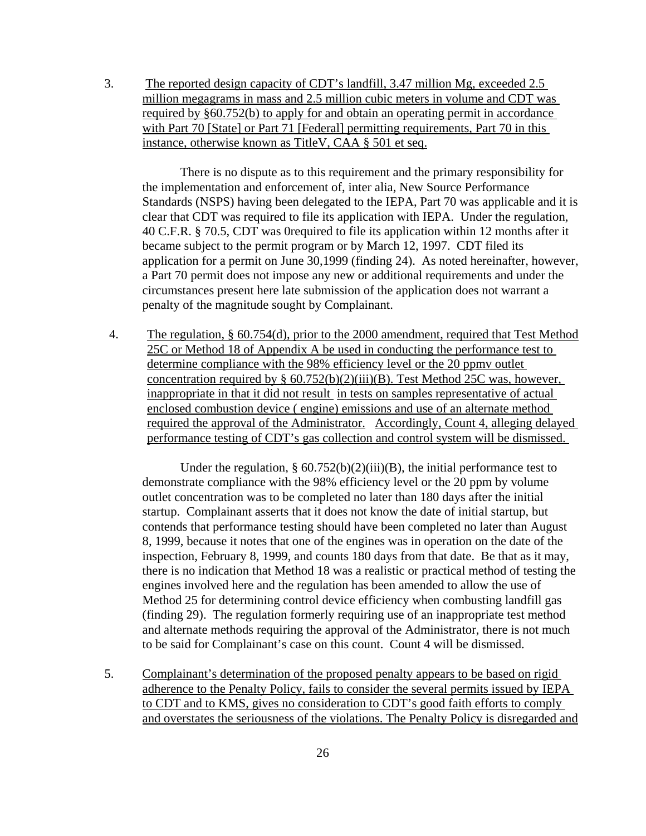3. The reported design capacity of CDT's landfill, 3.47 million Mg, exceeded 2.5 million megagrams in mass and 2.5 million cubic meters in volume and CDT was required by §60.752(b) to apply for and obtain an operating permit in accordance with Part 70 [State] or Part 71 [Federal] permitting requirements, Part 70 in this instance, otherwise known as TitleV, CAA § 501 et seq.

There is no dispute as to this requirement and the primary responsibility for the implementation and enforcement of, inter alia, New Source Performance Standards (NSPS) having been delegated to the IEPA, Part 70 was applicable and it is clear that CDT was required to file its application with IEPA. Under the regulation, 40 C.F.R. § 70.5, CDT was 0required to file its application within 12 months after it became subject to the permit program or by March 12, 1997. CDT filed its application for a permit on June 30,1999 (finding 24). As noted hereinafter, however, a Part 70 permit does not impose any new or additional requirements and under the circumstances present here late submission of the application does not warrant a penalty of the magnitude sought by Complainant.

4. The regulation, § 60.754(d), prior to the 2000 amendment, required that Test Method 25C or Method 18 of Appendix A be used in conducting the performance test to determine compliance with the 98% efficiency level or the 20 ppmv outlet concentration required by § 60.752(b)(2)(iii)(B). Test Method 25C was, however, inappropriate in that it did not result in tests on samples representative of actual enclosed combustion device ( engine) emissions and use of an alternate method required the approval of the Administrator. Accordingly, Count 4, alleging delayed performance testing of CDT's gas collection and control system will be dismissed.

Under the regulation,  $\S 60.752(b)(2)(iii)(B)$ , the initial performance test to demonstrate compliance with the 98% efficiency level or the 20 ppm by volume outlet concentration was to be completed no later than 180 days after the initial startup. Complainant asserts that it does not know the date of initial startup, but contends that performance testing should have been completed no later than August 8, 1999, because it notes that one of the engines was in operation on the date of the inspection, February 8, 1999, and counts 180 days from that date. Be that as it may, there is no indication that Method 18 was a realistic or practical method of testing the engines involved here and the regulation has been amended to allow the use of Method 25 for determining control device efficiency when combusting landfill gas (finding 29). The regulation formerly requiring use of an inappropriate test method and alternate methods requiring the approval of the Administrator, there is not much to be said for Complainant's case on this count. Count 4 will be dismissed.

5. Complainant's determination of the proposed penalty appears to be based on rigid adherence to the Penalty Policy, fails to consider the several permits issued by IEPA to CDT and to KMS, gives no consideration to CDT's good faith efforts to comply and overstates the seriousness of the violations. The Penalty Policy is disregarded and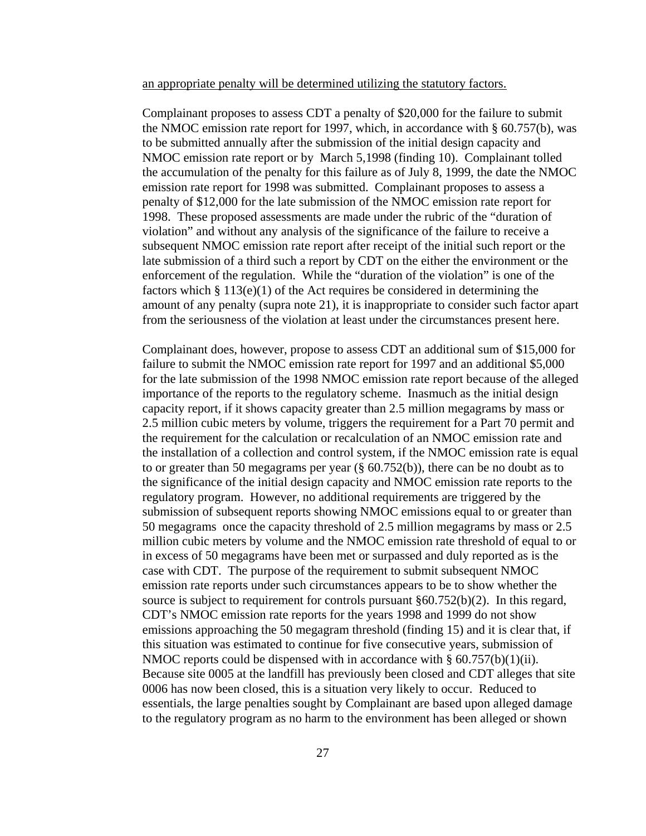#### an appropriate penalty will be determined utilizing the statutory factors.

Complainant proposes to assess CDT a penalty of \$20,000 for the failure to submit the NMOC emission rate report for 1997, which, in accordance with § 60.757(b), was to be submitted annually after the submission of the initial design capacity and NMOC emission rate report or by March 5,1998 (finding 10). Complainant tolled the accumulation of the penalty for this failure as of July 8, 1999, the date the NMOC emission rate report for 1998 was submitted. Complainant proposes to assess a penalty of \$12,000 for the late submission of the NMOC emission rate report for 1998. These proposed assessments are made under the rubric of the "duration of violation" and without any analysis of the significance of the failure to receive a subsequent NMOC emission rate report after receipt of the initial such report or the late submission of a third such a report by CDT on the either the environment or the enforcement of the regulation. While the "duration of the violation" is one of the factors which  $\S 113(e)(1)$  of the Act requires be considered in determining the amount of any penalty (supra note 21), it is inappropriate to consider such factor apart from the seriousness of the violation at least under the circumstances present here.

Complainant does, however, propose to assess CDT an additional sum of \$15,000 for failure to submit the NMOC emission rate report for 1997 and an additional \$5,000 for the late submission of the 1998 NMOC emission rate report because of the alleged importance of the reports to the regulatory scheme. Inasmuch as the initial design capacity report, if it shows capacity greater than 2.5 million megagrams by mass or 2.5 million cubic meters by volume, triggers the requirement for a Part 70 permit and the requirement for the calculation or recalculation of an NMOC emission rate and the installation of a collection and control system, if the NMOC emission rate is equal to or greater than 50 megagrams per year (§ 60.752(b)), there can be no doubt as to the significance of the initial design capacity and NMOC emission rate reports to the regulatory program. However, no additional requirements are triggered by the submission of subsequent reports showing NMOC emissions equal to or greater than 50 megagrams once the capacity threshold of 2.5 million megagrams by mass or 2.5 million cubic meters by volume and the NMOC emission rate threshold of equal to or in excess of 50 megagrams have been met or surpassed and duly reported as is the case with CDT. The purpose of the requirement to submit subsequent NMOC emission rate reports under such circumstances appears to be to show whether the source is subject to requirement for controls pursuant §60.752(b)(2). In this regard, CDT's NMOC emission rate reports for the years 1998 and 1999 do not show emissions approaching the 50 megagram threshold (finding 15) and it is clear that, if this situation was estimated to continue for five consecutive years, submission of NMOC reports could be dispensed with in accordance with §  $60.757(b)(1)(ii)$ . Because site 0005 at the landfill has previously been closed and CDT alleges that site 0006 has now been closed, this is a situation very likely to occur. Reduced to essentials, the large penalties sought by Complainant are based upon alleged damage to the regulatory program as no harm to the environment has been alleged or shown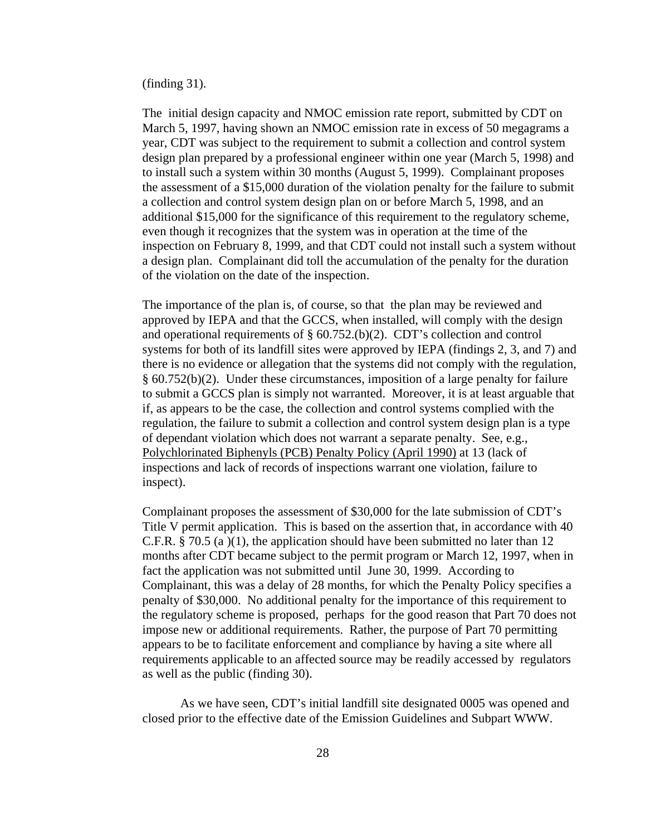(finding 31).

The initial design capacity and NMOC emission rate report, submitted by CDT on March 5, 1997, having shown an NMOC emission rate in excess of 50 megagrams a year, CDT was subject to the requirement to submit a collection and control system design plan prepared by a professional engineer within one year (March 5, 1998) and to install such a system within 30 months (August 5, 1999). Complainant proposes the assessment of a \$15,000 duration of the violation penalty for the failure to submit a collection and control system design plan on or before March 5, 1998, and an additional \$15,000 for the significance of this requirement to the regulatory scheme, even though it recognizes that the system was in operation at the time of the inspection on February 8, 1999, and that CDT could not install such a system without a design plan. Complainant did toll the accumulation of the penalty for the duration of the violation on the date of the inspection.

The importance of the plan is, of course, so that the plan may be reviewed and approved by IEPA and that the GCCS, when installed, will comply with the design and operational requirements of § 60.752.(b)(2). CDT's collection and control systems for both of its landfill sites were approved by IEPA (findings 2, 3, and 7) and there is no evidence or allegation that the systems did not comply with the regulation, § 60.752(b)(2). Under these circumstances, imposition of a large penalty for failure to submit a GCCS plan is simply not warranted. Moreover, it is at least arguable that if, as appears to be the case, the collection and control systems complied with the regulation, the failure to submit a collection and control system design plan is a type of dependant violation which does not warrant a separate penalty. See, e.g., Polychlorinated Biphenyls (PCB) Penalty Policy (April 1990) at 13 (lack of inspections and lack of records of inspections warrant one violation, failure to inspect).

Complainant proposes the assessment of \$30,000 for the late submission of CDT's Title V permit application. This is based on the assertion that, in accordance with 40 C.F.R. § 70.5 (a )(1), the application should have been submitted no later than 12 months after CDT became subject to the permit program or March 12, 1997, when in fact the application was not submitted until June 30, 1999. According to Complainant, this was a delay of 28 months, for which the Penalty Policy specifies a penalty of \$30,000. No additional penalty for the importance of this requirement to the regulatory scheme is proposed, perhaps for the good reason that Part 70 does not impose new or additional requirements. Rather, the purpose of Part 70 permitting appears to be to facilitate enforcement and compliance by having a site where all requirements applicable to an affected source may be readily accessed by regulators as well as the public (finding 30).

As we have seen, CDT's initial landfill site designated 0005 was opened and closed prior to the effective date of the Emission Guidelines and Subpart WWW.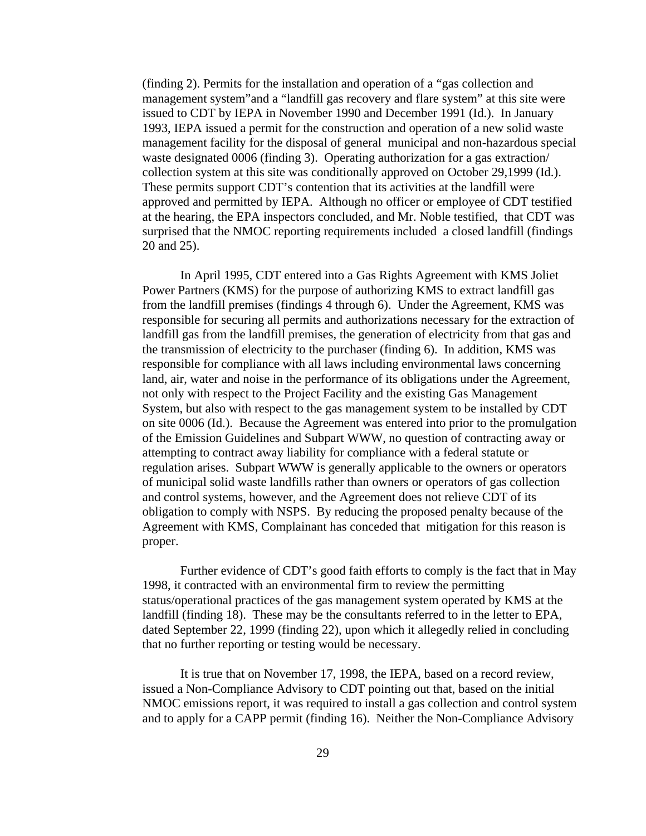(finding 2). Permits for the installation and operation of a "gas collection and management system"and a "landfill gas recovery and flare system" at this site were issued to CDT by IEPA in November 1990 and December 1991 (Id.). In January 1993, IEPA issued a permit for the construction and operation of a new solid waste management facility for the disposal of general municipal and non-hazardous special waste designated 0006 (finding 3). Operating authorization for a gas extraction/ collection system at this site was conditionally approved on October 29,1999 (Id.). These permits support CDT's contention that its activities at the landfill were approved and permitted by IEPA. Although no officer or employee of CDT testified at the hearing, the EPA inspectors concluded, and Mr. Noble testified, that CDT was surprised that the NMOC reporting requirements included a closed landfill (findings 20 and 25).

In April 1995, CDT entered into a Gas Rights Agreement with KMS Joliet Power Partners (KMS) for the purpose of authorizing KMS to extract landfill gas from the landfill premises (findings 4 through 6). Under the Agreement, KMS was responsible for securing all permits and authorizations necessary for the extraction of landfill gas from the landfill premises, the generation of electricity from that gas and the transmission of electricity to the purchaser (finding 6). In addition, KMS was responsible for compliance with all laws including environmental laws concerning land, air, water and noise in the performance of its obligations under the Agreement, not only with respect to the Project Facility and the existing Gas Management System, but also with respect to the gas management system to be installed by CDT on site 0006 (Id.). Because the Agreement was entered into prior to the promulgation of the Emission Guidelines and Subpart WWW, no question of contracting away or attempting to contract away liability for compliance with a federal statute or regulation arises. Subpart WWW is generally applicable to the owners or operators of municipal solid waste landfills rather than owners or operators of gas collection and control systems, however, and the Agreement does not relieve CDT of its obligation to comply with NSPS. By reducing the proposed penalty because of the Agreement with KMS, Complainant has conceded that mitigation for this reason is proper.

Further evidence of CDT's good faith efforts to comply is the fact that in May 1998, it contracted with an environmental firm to review the permitting status/operational practices of the gas management system operated by KMS at the landfill (finding 18). These may be the consultants referred to in the letter to EPA, dated September 22, 1999 (finding 22), upon which it allegedly relied in concluding that no further reporting or testing would be necessary.

It is true that on November 17, 1998, the IEPA, based on a record review, issued a Non-Compliance Advisory to CDT pointing out that, based on the initial NMOC emissions report, it was required to install a gas collection and control system and to apply for a CAPP permit (finding 16). Neither the Non-Compliance Advisory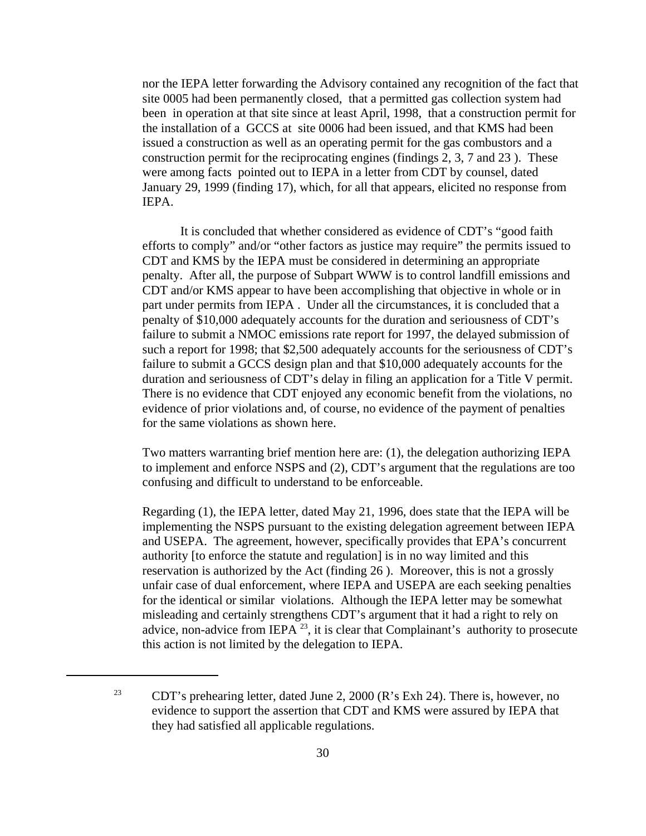nor the IEPA letter forwarding the Advisory contained any recognition of the fact that site 0005 had been permanently closed, that a permitted gas collection system had been in operation at that site since at least April, 1998, that a construction permit for the installation of a GCCS at site 0006 had been issued, and that KMS had been issued a construction as well as an operating permit for the gas combustors and a construction permit for the reciprocating engines (findings 2, 3, 7 and 23 ). These were among facts pointed out to IEPA in a letter from CDT by counsel, dated January 29, 1999 (finding 17), which, for all that appears, elicited no response from IEPA.

It is concluded that whether considered as evidence of CDT's "good faith efforts to comply" and/or "other factors as justice may require" the permits issued to CDT and KMS by the IEPA must be considered in determining an appropriate penalty. After all, the purpose of Subpart WWW is to control landfill emissions and CDT and/or KMS appear to have been accomplishing that objective in whole or in part under permits from IEPA . Under all the circumstances, it is concluded that a penalty of \$10,000 adequately accounts for the duration and seriousness of CDT's failure to submit a NMOC emissions rate report for 1997, the delayed submission of such a report for 1998; that \$2,500 adequately accounts for the seriousness of CDT's failure to submit a GCCS design plan and that \$10,000 adequately accounts for the duration and seriousness of CDT's delay in filing an application for a Title V permit. There is no evidence that CDT enjoyed any economic benefit from the violations, no evidence of prior violations and, of course, no evidence of the payment of penalties for the same violations as shown here.

Two matters warranting brief mention here are: (1), the delegation authorizing IEPA to implement and enforce NSPS and (2), CDT's argument that the regulations are too confusing and difficult to understand to be enforceable.

Regarding (1), the IEPA letter, dated May 21, 1996, does state that the IEPA will be implementing the NSPS pursuant to the existing delegation agreement between IEPA and USEPA. The agreement, however, specifically provides that EPA's concurrent authority [to enforce the statute and regulation] is in no way limited and this reservation is authorized by the Act (finding 26 ). Moreover, this is not a grossly unfair case of dual enforcement, where IEPA and USEPA are each seeking penalties for the identical or similar violations. Although the IEPA letter may be somewhat misleading and certainly strengthens CDT's argument that it had a right to rely on advice, non-advice from IEPA<sup>23</sup>, it is clear that Complainant's authority to prosecute this action is not limited by the delegation to IEPA.

<sup>&</sup>lt;sup>23</sup> CDT's prehearing letter, dated June 2, 2000 (R's Exh 24). There is, however, no evidence to support the assertion that CDT and KMS were assured by IEPA that they had satisfied all applicable regulations.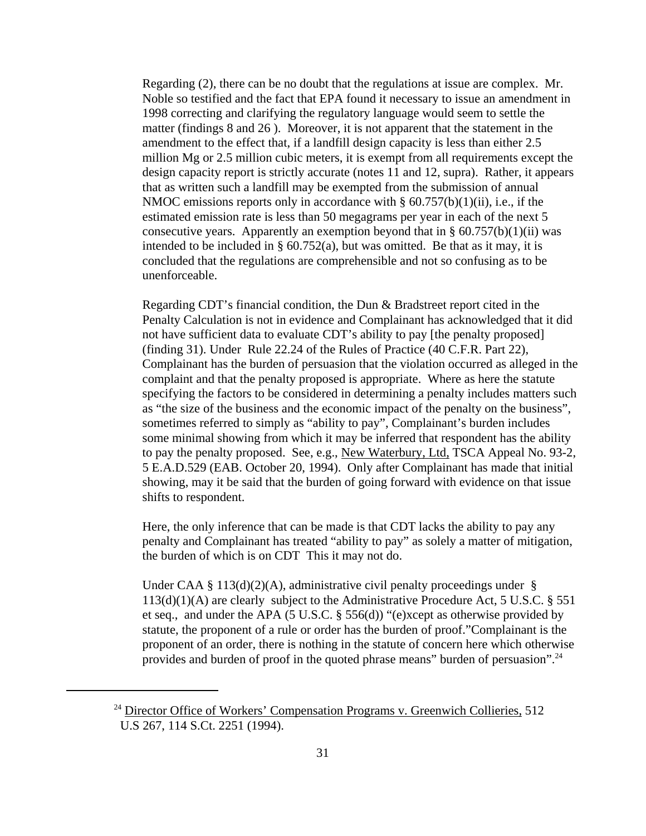Regarding (2), there can be no doubt that the regulations at issue are complex. Mr. Noble so testified and the fact that EPA found it necessary to issue an amendment in 1998 correcting and clarifying the regulatory language would seem to settle the matter (findings 8 and 26 ). Moreover, it is not apparent that the statement in the amendment to the effect that, if a landfill design capacity is less than either 2.5 million Mg or 2.5 million cubic meters, it is exempt from all requirements except the design capacity report is strictly accurate (notes 11 and 12, supra). Rather, it appears that as written such a landfill may be exempted from the submission of annual NMOC emissions reports only in accordance with  $\S$  60.757(b)(1)(ii), i.e., if the estimated emission rate is less than 50 megagrams per year in each of the next 5 consecutive years. Apparently an exemption beyond that in  $\S$  60.757(b)(1)(ii) was intended to be included in  $\S$  60.752(a), but was omitted. Be that as it may, it is concluded that the regulations are comprehensible and not so confusing as to be unenforceable.

Regarding CDT's financial condition, the Dun & Bradstreet report cited in the Penalty Calculation is not in evidence and Complainant has acknowledged that it did not have sufficient data to evaluate CDT's ability to pay [the penalty proposed] (finding 31). Under Rule 22.24 of the Rules of Practice (40 C.F.R. Part 22), Complainant has the burden of persuasion that the violation occurred as alleged in the complaint and that the penalty proposed is appropriate. Where as here the statute specifying the factors to be considered in determining a penalty includes matters such as "the size of the business and the economic impact of the penalty on the business", sometimes referred to simply as "ability to pay", Complainant's burden includes some minimal showing from which it may be inferred that respondent has the ability to pay the penalty proposed. See, e.g., New Waterbury, Ltd, TSCA Appeal No. 93-2, 5 E.A.D.529 (EAB. October 20, 1994). Only after Complainant has made that initial showing, may it be said that the burden of going forward with evidence on that issue shifts to respondent.

Here, the only inference that can be made is that CDT lacks the ability to pay any penalty and Complainant has treated "ability to pay" as solely a matter of mitigation, the burden of which is on CDT This it may not do.

Under CAA § 113(d)(2)(A), administrative civil penalty proceedings under § 113(d)(1)(A) are clearly subject to the Administrative Procedure Act, 5 U.S.C. § 551 et seq., and under the APA (5 U.S.C. § 556(d)) "(e)xcept as otherwise provided by statute, the proponent of a rule or order has the burden of proof."Complainant is the proponent of an order, there is nothing in the statute of concern here which otherwise provides and burden of proof in the quoted phrase means" burden of persuasion".24

 $24$  Director Office of Workers' Compensation Programs v. Greenwich Collieries, 512 U.S 267, 114 S.Ct. 2251 (1994).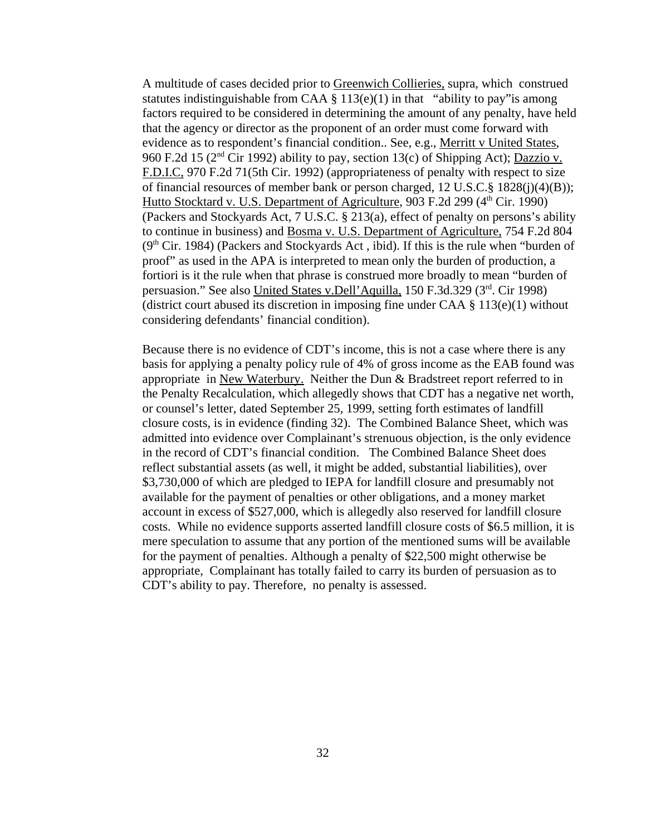A multitude of cases decided prior to Greenwich Collieries, supra, which construed statutes indistinguishable from CAA  $\S$  113(e)(1) in that "ability to pay" is among factors required to be considered in determining the amount of any penalty, have held that the agency or director as the proponent of an order must come forward with evidence as to respondent's financial condition.. See, e.g., Merritt v United States, 960 F.2d 15 ( $2<sup>nd</sup>$  Cir 1992) ability to pay, section 13(c) of Shipping Act); Dazzio v. F.D.I.C, 970 F.2d 71(5th Cir. 1992) (appropriateness of penalty with respect to size of financial resources of member bank or person charged, 12 U.S.C.§ 1828(j)(4)(B)); Hutto Stocktard v. U.S. Department of Agriculture, 903 F.2d 299 (4<sup>th</sup> Cir. 1990) (Packers and Stockyards Act, 7 U.S.C. § 213(a), effect of penalty on persons's ability to continue in business) and **Bosma v. U.S. Department of Agriculture**, 754 F.2d 804  $(9<sup>th</sup> Cir. 1984)$  (Packers and Stockyards Act, ibid). If this is the rule when "burden of proof" as used in the APA is interpreted to mean only the burden of production, a fortiori is it the rule when that phrase is construed more broadly to mean "burden of persuasion." See also United States v.Dell'Aquilla, 150 F.3d.329 (3rd. Cir 1998) (district court abused its discretion in imposing fine under CAA  $\S$  113(e)(1) without considering defendants' financial condition).

Because there is no evidence of CDT's income, this is not a case where there is any basis for applying a penalty policy rule of 4% of gross income as the EAB found was appropriate in New Waterbury. Neither the Dun & Bradstreet report referred to in the Penalty Recalculation, which allegedly shows that CDT has a negative net worth, or counsel's letter, dated September 25, 1999, setting forth estimates of landfill closure costs, is in evidence (finding 32). The Combined Balance Sheet, which was admitted into evidence over Complainant's strenuous objection, is the only evidence in the record of CDT's financial condition. The Combined Balance Sheet does reflect substantial assets (as well, it might be added, substantial liabilities), over \$3,730,000 of which are pledged to IEPA for landfill closure and presumably not available for the payment of penalties or other obligations, and a money market account in excess of \$527,000, which is allegedly also reserved for landfill closure costs. While no evidence supports asserted landfill closure costs of \$6.5 million, it is mere speculation to assume that any portion of the mentioned sums will be available for the payment of penalties. Although a penalty of \$22,500 might otherwise be appropriate, Complainant has totally failed to carry its burden of persuasion as to CDT's ability to pay. Therefore, no penalty is assessed.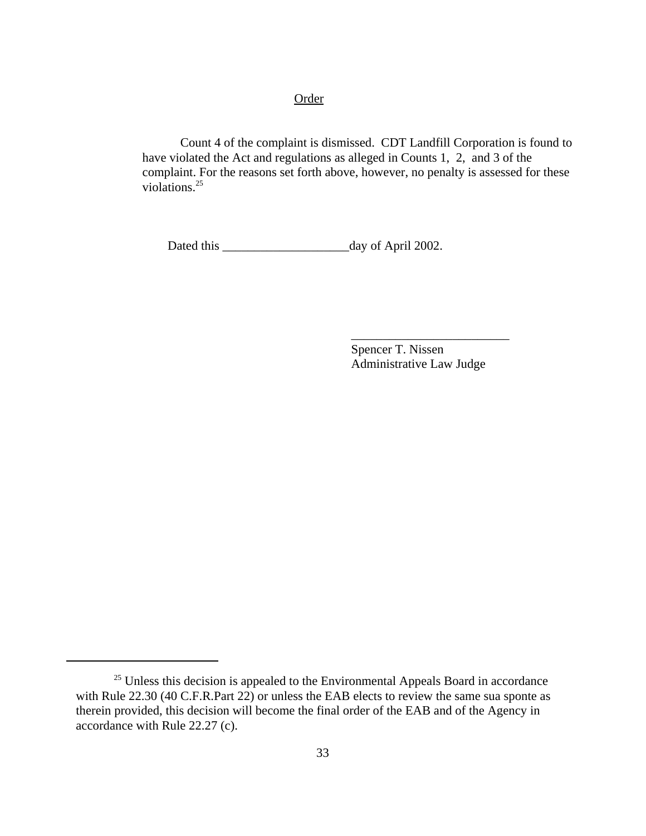## **Order**

Count 4 of the complaint is dismissed. CDT Landfill Corporation is found to have violated the Act and regulations as alleged in Counts 1, 2, and 3 of the complaint. For the reasons set forth above, however, no penalty is assessed for these violations.<sup>25</sup>

Dated this \_\_\_\_\_\_\_\_\_\_\_\_\_\_\_\_\_\_\_\_day of April 2002.

Spencer T. Nissen Administrative Law Judge

\_\_\_\_\_\_\_\_\_\_\_\_\_\_\_\_\_\_\_\_\_\_\_\_\_

 $25$  Unless this decision is appealed to the Environmental Appeals Board in accordance with Rule 22.30 (40 C.F.R.Part 22) or unless the EAB elects to review the same sua sponte as therein provided, this decision will become the final order of the EAB and of the Agency in accordance with Rule 22.27 (c).